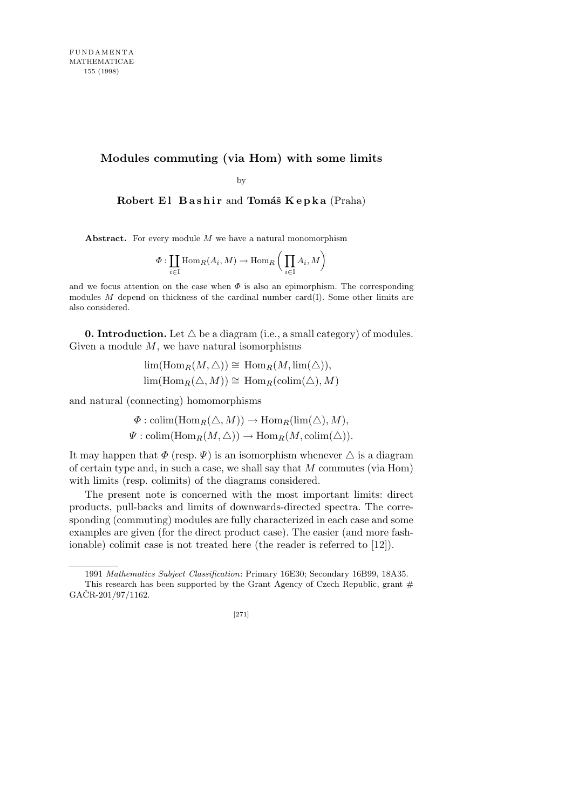# **Modules commuting (via Hom) with some limits**

by

**Robert El Bashir and Tomáš Kepka** (Praha)

**Abstract.** For every module *M* we have a natural monomorphism

$$
\Phi: \coprod_{i \in \mathcal{I}} \text{Hom}_R(A_i, M) \to \text{Hom}_R\left(\prod_{i \in \mathcal{I}} A_i, M\right)
$$

and we focus attention on the case when  $\Phi$  is also an epimorphism. The corresponding modules *M* depend on thickness of the cardinal number card(I). Some other limits are also considered.

**0. Introduction.** Let  $\triangle$  be a diagram (i.e., a small category) of modules. Given a module *M*, we have natural isomorphisms

$$
\lim(\mathrm{Hom}_R(M,\triangle)) \cong \mathrm{Hom}_R(M,\mathrm{lim}(\triangle)),
$$
  

$$
\lim(\mathrm{Hom}_R(\triangle,M)) \cong \mathrm{Hom}_R(\mathrm{colim}(\triangle),M)
$$

and natural (connecting) homomorphisms

$$
\Phi : \text{colim}(\text{Hom}_R(\triangle, M)) \to \text{Hom}_R(\text{lim}(\triangle), M),
$$
  

$$
\Psi : \text{colim}(\text{Hom}_R(M, \triangle)) \to \text{Hom}_R(M, \text{colim}(\triangle)).
$$

It may happen that  $\Phi$  (resp.  $\Psi$ ) is an isomorphism whenever  $\Delta$  is a diagram of certain type and, in such a case, we shall say that *M* commutes (via Hom) with limits (resp. colimits) of the diagrams considered.

The present note is concerned with the most important limits: direct products, pull-backs and limits of downwards-directed spectra. The corresponding (commuting) modules are fully characterized in each case and some examples are given (for the direct product case). The easier (and more fashionable) colimit case is not treated here (the reader is referred to [12]).

<sup>1991</sup> *Mathematics Subject Classification*: Primary 16E30; Secondary 16B99, 18A35. This research has been supported by the Grant Agency of Czech Republic, grant  $#$  $GACR-201/97/1162.$ 

<sup>[271]</sup>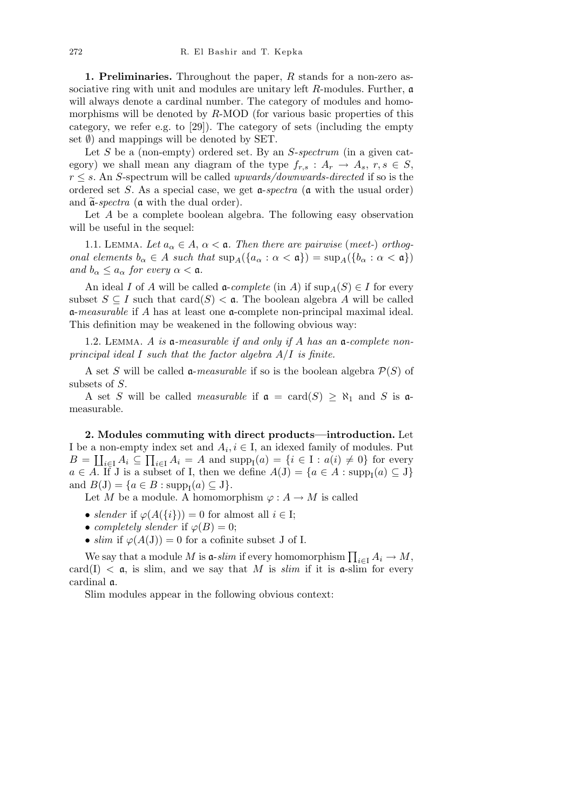**1. Preliminaries.** Throughout the paper, *R* stands for a non-zero associative ring with unit and modules are unitary left *R*-modules. Further, a will always denote a cardinal number. The category of modules and homomorphisms will be denoted by *R*-MOD (for various basic properties of this category, we refer e.g. to [29]). The category of sets (including the empty set *Ø*) and mappings will be denoted by SET.

Let *S* be a (non-empty) ordered set. By an *S-spectrum* (in a given category) we shall mean any diagram of the type  $f_{r,s}: A_r \to A_s, r, s \in S$ , *r ≤ s*. An *S*-spectrum will be called *upwards/downwards-directed* if so is the ordered set *S*. As a special case, we get a-*spectra* (a with the usual order) and  $\tilde{\mathfrak{a}}$ -*spectra* ( $\mathfrak{a}$  with the dual order).

Let *A* be a complete boolean algebra. The following easy observation will be useful in the sequel:

1.1. LEMMA. Let  $a_{\alpha} \in A$ ,  $\alpha < \mathfrak{a}$ . Then there are pairwise (meet-) orthog*onal elements*  $b_{\alpha} \in A$  *such that*  $\sup_{A}(\{a_{\alpha} : \alpha < \mathfrak{a}\}) = \sup_{A}(\{b_{\alpha} : \alpha < \mathfrak{a}\})$ *and*  $b_{\alpha} \leq a_{\alpha}$  *for every*  $\alpha < \mathfrak{a}$ *.* 

An ideal *I* of *A* will be called  $\mathfrak{a}$ -*complete* (in *A*) if  $\sup_{A}(S) \in I$  for every subset  $S \subseteq I$  such that  $card(S) < \mathfrak{a}$ . The boolean algebra A will be called a-*measurable* if *A* has at least one a-complete non-principal maximal ideal. This definition may be weakened in the following obvious way:

1.2. Lemma. *A is* a*-measurable if and only if A has an* a*-complete nonprincipal ideal I such that the factor algebra A/I is finite.*

A set *S* will be called **a**-measurable if so is the boolean algebra  $\mathcal{P}(S)$  of subsets of *S*.

A set *S* will be called *measurable* if  $\mathfrak{a} = \text{card}(S) \geq \aleph_1$  and *S* is  $\mathfrak{a}$ measurable.

**2. Modules commuting with direct products—introduction.** Let I be a non-empty index set and  $A_i, i \in I$ , an idexed family of modules. Put  $B = \coprod_{i \in I} A_i \subseteq \prod_{i \in I} A_i = A$  and  $\text{supp}_{I}(a) = \{i \in I : a(i) \neq 0\}$  for every  $a \in A$ . If J is a subset of I, then we define  $A(J) = \{a \in A : \text{supp}_I(a) \subseteq J\}$ and  $B(J) = \{a \in B : \text{supp}_{I}(a) \subseteq J\}.$ 

Let *M* be a module. A homomorphism  $\varphi : A \to M$  is called

- *slender* if  $\varphi(A(\{i\})) = 0$  for almost all  $i \in I$ ;
- *completely slender* if  $\varphi(B) = 0$ ;
- $\sinh$  if  $\varphi(A(J)) = 0$  for a cofinite subset J of I.

We say that a module *M* is  $\mathfrak{a}$ -*slim* if every homomorphism  $\prod_{i\in I} A_i \to M$ , card(I)  $<$  a, is slim, and we say that M is *slim* if it is a-slim for every cardinal a.

Slim modules appear in the following obvious context: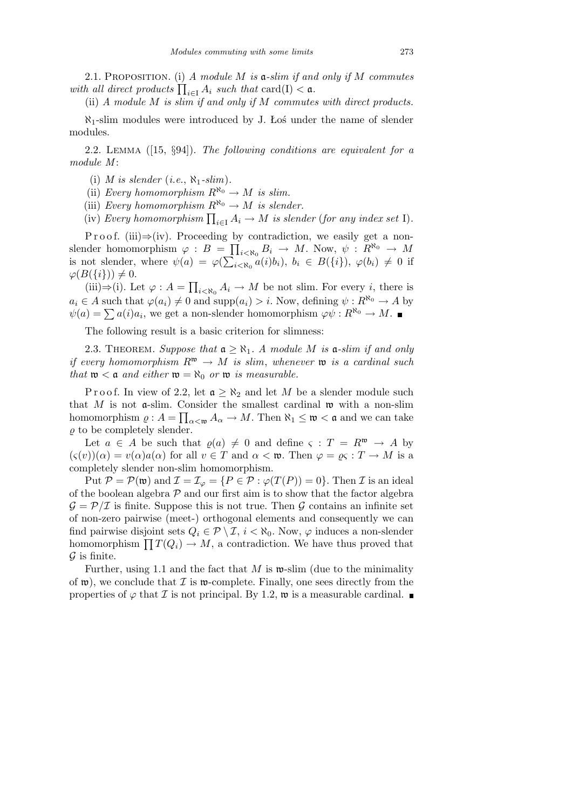2.1. Proposition. (i) *A module M is* a*-slim if and only if M commutes with all direct products*  $\prod_{i \in I} A_i$  *such that* card(I) < **a**.

(ii) *A module M is slim if and only if M commutes with direct products.*

*ℵ*1-slim modules were introduced by J. Łoś under the name of slender modules.

2.2. Lemma ([15, *§*94]). *The following conditions are equivalent for a module M* :

(i) *M* is slender (*i.e.*,  $\aleph_1$ *-slim*).

(ii) *Every homomorphism*  $R^{\aleph_0} \to M$  *is slim.* 

(iii) *Every homomorphism*  $R^{\aleph_0} \to M$  *is slender.* 

(iv) *Every homomorphism*  $\prod_{i \in I} A_i \to M$  *is slender* (*for any index set* I).

P r o o f. (iii) $\Rightarrow$ (iv). Proceeding by contradiction, we easily get a nonslender homomorphism  $\varphi : B = \prod_{i < \aleph_0} B_i \to M$ . Now,  $\psi : R^{\aleph_0} \to M$ is not slender, where  $\psi(a) = \varphi(\sum_{i \leq \aleph_0} a(i)b_i)$ ,  $b_i \in B(\{i\})$ ,  $\varphi(b_i) \neq 0$  if  $\varphi(B(\{i\})) \neq 0.$  $\overline{a}$ 

(iii)*⇒*(i). Let *ϕ* : *A* =  $i < \aleph_0 A_i \to M$  be not slim. For every *i*, there is  $a_i \in A$  such that  $\varphi(a_i) \neq 0$  and  $\text{supp}(a_i) > i$ . Now, defining  $\psi: R^{\aleph_0} \to A$  by  $\psi(a) = \sum a(i)a_i$ , we get a non-slender homomorphism  $\varphi \psi : R^{\aleph_0} \to M$ .

The following result is a basic criterion for slimness:

2.3. THEOREM. *Suppose that*  $a \geq \aleph_1$ . *A module M is*  $a$ -*slim if and only if every homomorphism*  $R^{\mathfrak{w}} \to M$  *is slim, whenever*  $\mathfrak{w}$  *is a cardinal such that*  $\mathfrak{w} < \mathfrak{a}$  *and either*  $\mathfrak{w} = \aleph_0$  *or*  $\mathfrak{w}$  *is measurable.* 

P r o o f. In view of 2.2, let  $\mathfrak{a} \geq \aleph_2$  and let M be a slender module such that *M* is not  $\alpha$ -slim. Consider the smallest cardinal  $\mathfrak{w}$  with a non-slim homomorphism  $\varrho: A = \prod_{\alpha<\mathfrak{w}} A_{\alpha} \to M$ . Then  $\aleph_1 \leq \mathfrak{w} < \mathfrak{a}$  and we can take  $\rho$  to be completely slender.

Let  $a \in A$  be such that  $\varrho(a) \neq 0$  and define  $\varsigma : T = R^{\mathfrak{w}} \rightarrow A$  by  $(\varsigma(v))(\alpha) = v(\alpha)a(\alpha)$  for all  $v \in T$  and  $\alpha < \mathfrak{w}$ . Then  $\varphi = \varrho \varsigma : T \to M$  is a completely slender non-slim homomorphism.

Put  $P = P(\mathfrak{w})$  and  $\mathcal{I} = \mathcal{I}_{\varphi} = \{P \in \mathcal{P} : \varphi(T(P)) = 0\}$ . Then *I* is an ideal of the boolean algebra  $P$  and our first aim is to show that the factor algebra  $G = P/T$  is finite. Suppose this is not true. Then G contains an infinite set of non-zero pairwise (meet-) orthogonal elements and consequently we can find pairwise disjoint sets  $Q_i \in \mathcal{P} \setminus \mathcal{I}, i < \aleph_0$ . Now,  $\varphi$  induces a non-slender homomorphism  $\prod T(Q_i) \to M$ , a contradiction. We have thus proved that *G* is finite.

Further, using 1.1 and the fact that *M* is w-slim (due to the minimality of  $\mathfrak{w}$ ), we conclude that  $\mathcal I$  is  $\mathfrak{w}$ -complete. Finally, one sees directly from the properties of  $\varphi$  that *I* is not principal. By 1.2,  $\mathfrak{w}$  is a measurable cardinal.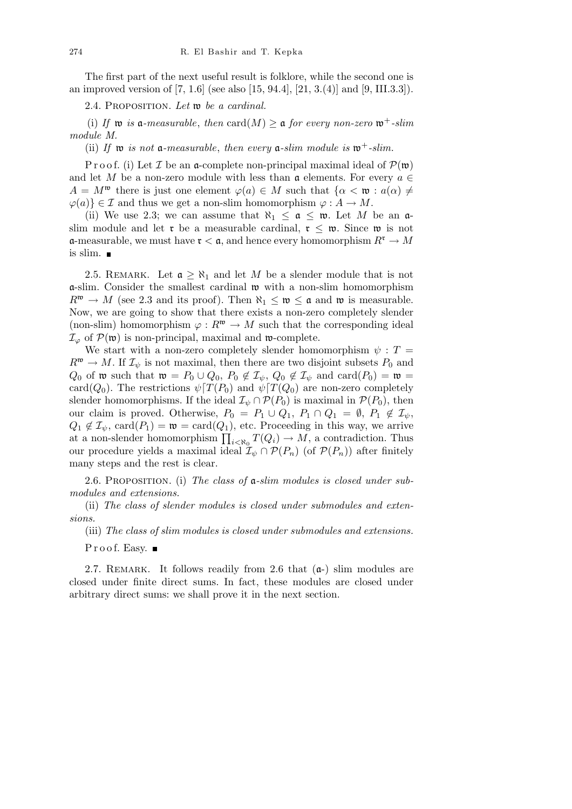The first part of the next useful result is folklore, while the second one is an improved version of [7, 1.6] (see also [15, 94.4], [21, 3.(4)] and [9, III.3.3]).

2.4. Proposition. *Let* w *be a cardinal.*

(i) If  $\mathfrak{w}$  *is* a-measurable, then card(M)  $\geq$  a for every non-zero  $\mathfrak{w}^+$ -slim *module M.*

(ii) If  $\mathfrak{w}$  *is not*  $\mathfrak{a}$ *-measurable, then every*  $\mathfrak{a}$ *-slim module is*  $\mathfrak{w}^+$ *-slim.* 

P r o o f. (i) Let *I* be an **a**-complete non-principal maximal ideal of  $\mathcal{P}(\mathfrak{w})$ and let *M* be a non-zero module with less than  $\mathfrak{a}$  elements. For every  $a \in \mathfrak{a}$  $A = M^{\mathfrak{w}}$  there is just one element  $\varphi(a) \in M$  such that  $\{\alpha < \mathfrak{w} : a(\alpha) \neq \emptyset\}$  $\varphi(a)$   $\in \mathcal{I}$  and thus we get a non-slim homomorphism  $\varphi : A \to M$ .

(ii) We use 2.3; we can assume that  $\aleph_1 \leq \mathfrak{a} \leq \mathfrak{w}$ . Let M be an  $\mathfrak{a}$ slim module and let **r** be a measurable cardinal,  $r \leq w$ . Since we is not  $\alpha$ -measurable, we must have  $\mathfrak{r} < \mathfrak{a}$ , and hence every homomorphism  $R^{\mathfrak{r}} \to M$ is slim.  $\blacksquare$ 

2.5. REMARK. Let  $\mathfrak{a} \geq \aleph_1$  and let *M* be a slender module that is not a-slim. Consider the smallest cardinal w with a non-slim homomorphism  $R^{\mathfrak{w}} \to M$  (see 2.3 and its proof). Then  $\aleph_1 \leq \mathfrak{w} \leq \mathfrak{a}$  and  $\mathfrak{w}$  is measurable. Now, we are going to show that there exists a non-zero completely slender (non-slim) homomorphism  $\varphi : R^{\mathfrak{w}} \to M$  such that the corresponding ideal  $\mathcal{I}_{\varphi}$  of  $\mathcal{P}(\mathfrak{w})$  is non-principal, maximal and  $\mathfrak{w}$ -complete.

We start with a non-zero completely slender homomorphism  $\psi$  :  $T =$  $R^{\mathfrak{w}} \to M$ . If  $\mathcal{I}_{\psi}$  is not maximal, then there are two disjoint subsets  $P_0$  and *Q*<sub>0</sub> of **w** such that  $\mathfrak{w} = P_0 \cup Q_0$ ,  $P_0 \notin \mathcal{I}_{\psi}$ ,  $Q_0 \notin \mathcal{I}_{\psi}$  and card( $P_0$ ) =  $\mathfrak{w}$  = card( $Q_0$ ). The restrictions  $\psi$ <sup>[</sup> $T(P_0)$  and  $\psi$ <sup>[</sup> $T(Q_0)$  are non-zero completely slender homomorphisms. If the ideal  $\mathcal{I}_{\psi} \cap \mathcal{P}(P_0)$  is maximal in  $\mathcal{P}(P_0)$ , then our claim is proved. Otherwise,  $P_0 = P_1 \cup Q_1$ ,  $P_1 \cap Q_1 = \emptyset$ ,  $P_1 \notin \mathcal{I}_{\psi}$ ,  $Q_1 \notin \mathcal{I}_{\psi}$ , card $(P_1) = \mathfrak{w} = \text{card}(Q_1)$ , etc. Proceeding in this way, we arrive  $Q_1 \notin L_{\psi}$ , card $(P_1) = \mathfrak{w} = \text{card}(Q_1)$ , etc. Proceeding in this way, we arrive<br>at a non-slender homomorphism  $\prod_{i \leq \aleph_0} T(Q_i) \to M$ , a contradiction. Thus our procedure yields a maximal ideal  $\mathcal{I}_{\psi} \cap \mathcal{P}(P_n)$  (of  $\mathcal{P}(P_n)$ ) after finitely many steps and the rest is clear.

2.6. Proposition. (i) *The class of* a*-slim modules is closed under submodules and extensions.*

(ii) *The class of slender modules is closed under submodules and extensions.*

(iii) *The class of slim modules is closed under submodules and extensions.*  $Proof.$  Easy.  $\blacksquare$ 

2.7. REMARK. It follows readily from 2.6 that  $(a-)$  slim modules are closed under finite direct sums. In fact, these modules are closed under arbitrary direct sums: we shall prove it in the next section.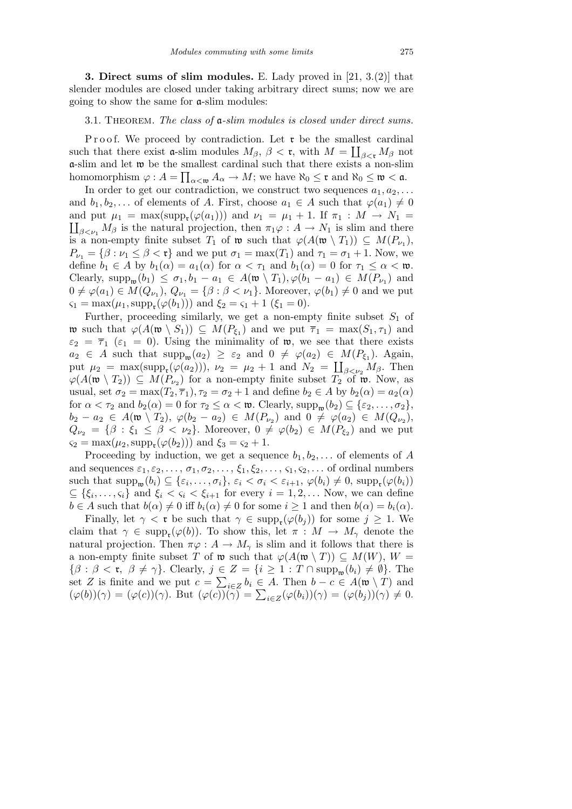**3. Direct sums of slim modules.** E. Lady proved in [21, 3.(2)] that slender modules are closed under taking arbitrary direct sums; now we are going to show the same for a-slim modules:

#### 3.1. Theorem. *The class of* a*-slim modules is closed under direct sums.*

Proof. We proceed by contradiction. Let  $\mathfrak{r}$  be the smallest cardinal such that there exist **a**-slim modules  $M_{\beta}$ ,  $\beta <$ **r**, with  $M = \coprod_{\beta < r} M_{\beta}$  not a-slim and let w be the smallest cardinal such that there exists a non-slim Q  $\alpha$  homomorphism  $\varphi: A = \prod_{\alpha<\mathfrak{w}} A_{\alpha} \to M$ ; we have  $\aleph_0 \leq \mathfrak{r}$  and  $\aleph_0 \leq \mathfrak{w} < \mathfrak{a}$ .

In order to get our contradiction, we construct two sequences  $a_1, a_2, \ldots$ and  $b_1, b_2, \ldots$  of elements of *A*. First, choose  $a_1 \in A$  such that  $\varphi(a_1) \neq 0$ and put  $\mu_1 = \max(\text{supp}_{\mathbf{t}}(\varphi(a_1)))$  and  $\nu_1 = \mu_1 + 1$ . If  $\pi_1 : M \to N_1 =$  $\iint_{B \leq u_1} M_B$  is the natural projection, then  $\pi_1 \varphi : A \to N_1$  is slim and there is a non-empty finite subset  $T_1$  of  $\mathfrak{w}$  such that  $\varphi(A(\mathfrak{w} \setminus T_1)) \subseteq M(P_{\nu_1}),$  $P_{\nu_1} = {\beta : \nu_1 \leq \beta < \mathfrak{r}}$  and we put  $\sigma_1 = \max(T_1)$  and  $\tau_1 = \sigma_1 + 1$ . Now, we define  $b_1 \in A$  by  $b_1(\alpha) = a_1(\alpha)$  for  $\alpha < \tau_1$  and  $b_1(\alpha) = 0$  for  $\tau_1 \leq \alpha < \mathfrak{w}$ . Clearly, supp<sub>w</sub>( $b_1$ )  $\leq \sigma_1$ ,  $b_1 - a_1 \in A(\mathfrak{w} \setminus T_1)$ ,  $\varphi(b_1 - a_1) \in M(P_{\nu_1})$  and  $0 \neq \varphi(a_1) \in M(Q_{\nu_1}), Q_{\nu_1} = \{\beta : \beta < \nu_1\}$ . Moreover,  $\varphi(b_1) \neq 0$  and we put  $\varsigma_1 = \max(\mu_1, \text{supp}_{\mathfrak{r}}(\varphi(b_1)))$  and  $\xi_2 = \varsigma_1 + 1$  ( $\xi_1 = 0$ ).

Further, proceeding similarly, we get a non-empty finite subset  $S_1$  of we such that  $\varphi(A(\mathfrak{w} \setminus S_1)) \subseteq M(P_{\xi_1})$  and we put  $\overline{\tau}_1 = \max(S_1, \tau_1)$  and  $\varepsilon_2 = \overline{\tau}_1$  ( $\varepsilon_1 = 0$ ). Using the minimality of **w**, we see that there exists  $a_2 \in A$  such that  $\text{supp}_w(a_2) \geq \varepsilon_2$  and  $0 \neq \varphi(a_2) \in M(P_{\xi_1})$ . Again, put  $\mu_2 = \max(\sup_{\mathbf{p}}(\varphi(a_2))), \nu_2 = \mu_2 + 1$  and  $N_2 = \prod_{\beta<\nu_2} M_\beta$ . Then  $\varphi(A(\mathfrak{w} \setminus T_2))$  ⊆ *M*(*P*<sub>*v*2</sub>) for a non-empty finite subset  $T_2$  of  $\mathfrak{w}$ . Now, as usual, set  $\sigma_2 = \max(T_2, \overline{\tau}_1), \tau_2 = \sigma_2 + 1$  and define  $b_2 \in A$  by  $b_2(\alpha) = a_2(\alpha)$ for  $\alpha < \tau_2$  and  $b_2(\alpha) = 0$  for  $\tau_2 \leq \alpha < \mathfrak{w}$ . Clearly,  $\text{supp}_{\mathfrak{w}}(b_2) \subseteq {\varepsilon_2, \ldots, \sigma_2}$ ,  $b_2 - a_2 \in A(\mathfrak{w} \setminus T_2), \ \varphi(b_2 - a_2) \in M(P_{\nu_2}) \text{ and } 0 \neq \varphi(a_2) \in M(Q_{\nu_2}),$  $Q_{\nu_2} = \{\beta : \xi_1 \leq \beta < \nu_2\}$ . Moreover,  $0 \neq \varphi(b_2) \in M(P_{\xi_2})$  and we put  $\varsigma_2 = \max(\mu_2, \text{supp}_{\mathfrak{r}}(\varphi(b_2)))$  and  $\xi_3 = \varsigma_2 + 1$ .

Proceeding by induction, we get a sequence  $b_1, b_2, \ldots$  of elements of *A* and sequences  $\varepsilon_1, \varepsilon_2, \ldots, \sigma_1, \sigma_2, \ldots, \xi_1, \xi_2, \ldots, \varsigma_1, \varsigma_2, \ldots$  of ordinal numbers such that  $\text{supp}_{\mathfrak{w}}(b_i) \subseteq \{\varepsilon_i,\ldots,\sigma_i\}, \,\varepsilon_i < \sigma_i < \varepsilon_{i+1}, \,\varphi(b_i) \neq 0, \,\text{supp}_{\mathfrak{r}}(\varphi(b_i))$  $\subseteq$  { $\xi_i, \ldots, \varsigma_i$ } and  $\xi_i < \varsigma_i < \xi_{i+1}$  for every  $i = 1, 2, \ldots$  Now, we can define  $b \in A$  such that  $b(\alpha) \neq 0$  iff  $b_i(\alpha) \neq 0$  for some  $i \geq 1$  and then  $b(\alpha) = b_i(\alpha)$ .

Finally, let  $\gamma < \mathfrak{r}$  be such that  $\gamma \in \text{supp}_{\mathfrak{r}}(\varphi(b_j))$  for some  $j \geq 1$ . We claim that  $\gamma \in \text{supp}_{\mathfrak{r}}(\varphi(b))$ . To show this, let  $\pi : M \to M_{\gamma}$  denote the natural projection. Then  $\pi \varphi : A \to M_\gamma$  is slim and it follows that there is a non-empty finite subset *T* of  $\mathfrak{w}$  such that  $\varphi(A(\mathfrak{w} \setminus T)) \subseteq M(W), W =$  $\{\beta : \beta < r, \ \beta \neq \gamma\}$ . Clearly,  $j \in Z = \{i \geq 1 : T \cap \text{supp}_{\mathfrak{w}}(b_i) \neq \emptyset\}$ . The set *Z* is finite and we put  $c = \sum_{i \in \mathbb{Z}} b_i \in A$ . Then  $b - c \in A(\mathfrak{w} \setminus T)$  and  $(\varphi(b))(\gamma) = (\varphi(c))(\gamma)$ . But  $(\varphi(c))(\gamma) = \sum_{i \in \mathbb{Z}} o_i \in A$ . Then  $o - c \in A(\mathfrak{w} \setminus I)$  and  $(\varphi(b))(\gamma) = (\varphi(c))(\gamma)$ . But  $(\varphi(c))(\gamma) = \sum_{i \in \mathbb{Z}} (\varphi(b_i))(\gamma) = (\varphi(b_j))(\gamma) \neq 0$ .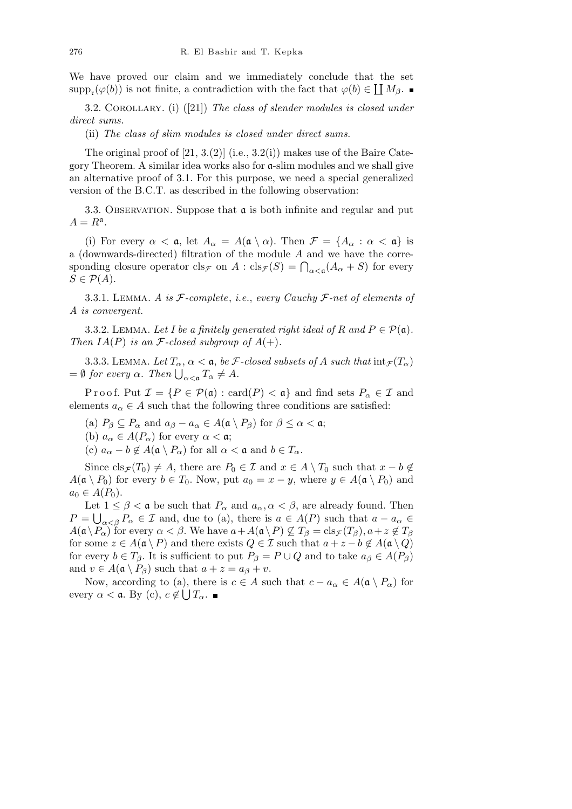We have proved our claim and we immediately conclude that the set  $\text{supp}_{\mathbf{t}}(\varphi(b))$  is not finite, a contradiction with the fact that  $\varphi(b) \in \prod M_{\beta}$ .

3.2. Corollary. (i) ([21]) *The class of slender modules is closed under direct sums.*

(ii) *The class of slim modules is closed under direct sums.*

The original proof of  $[21, 3.2]$  (i.e.,  $[3.2]$ ) makes use of the Baire Category Theorem. A similar idea works also for  $a$ -slim modules and we shall give an alternative proof of 3.1. For this purpose, we need a special generalized version of the B.C.T. as described in the following observation:

3.3. OBSERVATION. Suppose that  $\alpha$  is both infinite and regular and put  $A = R^{\mathfrak{a}}$ .

(i) For every  $\alpha < \mathfrak{a}$ , let  $A_{\alpha} = A(\mathfrak{a} \setminus \alpha)$ . Then  $\mathcal{F} = \{A_{\alpha} : \alpha < \mathfrak{a}\}\)$  is a (downwards-directed) filtration of the module *A* and we have the corre- $\alpha$  (downwards-directed) intration of the module *A* and we have the corresponding closure operator cls<sub>*F*</sub> on *A* : cls<sub>*F*</sub>(*S*) =  $\bigcap_{\alpha < \mathfrak{a}} (A_{\alpha} + S)$  for every  $S \in \mathcal{P}(A)$ .

3.3.1. Lemma. *A is F-complete*, *i.e.*, *every Cauchy F-net of elements of A is convergent.*

3.3.2. LEMMA. Let I be a finitely generated right ideal of R and  $P \in \mathcal{P}(\mathfrak{a})$ . *Then*  $IA(P)$  *is an F*-closed subgroup of  $A(+)$ .

3.3.3. LEMMA. Let  $T_\alpha$ ,  $\alpha < \mathfrak{a}$ , be *F*-closed subsets of *A* such that  $\text{int}_{\mathcal{F}}(T_\alpha)$  $= ∅$  *for every α. Then*  $\bigcup_{\alpha < \mathfrak{a}} T_{\alpha} \neq A$ *.* 

Proof. Put  $\mathcal{I} = \{P \in \mathcal{P}(\mathfrak{a}) : \text{card}(P) < \mathfrak{a}\}\$ and find sets  $P_\alpha \in \mathcal{I}$  and elements  $a_{\alpha} \in A$  such that the following three conditions are satisfied:

(a)  $P_{\beta} \subseteq P_{\alpha}$  and  $a_{\beta} - a_{\alpha} \in A(\mathfrak{a} \setminus P_{\beta})$  for  $\beta \leq \alpha < \mathfrak{a}$ ;

(b)  $a_{\alpha} \in A(P_{\alpha})$  for every  $\alpha < \mathfrak{a}$ ;

(c)  $a_{\alpha} - b \notin A(\mathfrak{a} \setminus P_{\alpha})$  for all  $\alpha < \mathfrak{a}$  and  $b \in T_{\alpha}$ .

Since  $\text{cls}_{\mathcal{F}}(T_0) \neq A$ , there are  $P_0 \in \mathcal{I}$  and  $x \in A \setminus T_0$  such that  $x - b \notin$  $A(\mathfrak{a} \setminus P_0)$  for every  $b \in T_0$ . Now, put  $a_0 = x - y$ , where  $y \in A(\mathfrak{a} \setminus P_0)$  and  $a_0$  ∈ *A*( $P_0$ ).

Let  $1 \leq \beta < a$  be such that  $P_\alpha$  and  $a_\alpha, \alpha < \beta$ , are already found. Then  $P = \bigcup_{\alpha < \beta} P_{\alpha} \in \mathcal{I}$  and, due to (a), there is  $a \in A(P)$  such that  $a - a_{\alpha} \in \mathcal{I}$  $A(\mathfrak{a}\setminus P_\alpha)$  for every  $\alpha < \beta$ . We have  $a + A(\mathfrak{a}\setminus P) \not\subseteq T_\beta = \text{cls}_{\mathcal{F}}(T_\beta), a + z \not\in T_\beta$ for some  $z \in A(\mathfrak{a} \setminus P)$  and there exists  $Q \in \mathcal{I}$  such that  $a + z - b \notin A(\mathfrak{a} \setminus Q)$ for every  $b \in T_\beta$ . It is sufficient to put  $P_\beta = P \cup Q$  and to take  $a_\beta \in A(P_\beta)$ and  $v \in A(\mathfrak{a} \setminus P_{\beta})$  such that  $a + z = a_{\beta} + v$ .

Now, according to (a), there is  $c \in A$  such that  $c - a_{\alpha} \in A(\mathfrak{a} \setminus P_{\alpha})$  for every  $\alpha < \mathfrak{a}$ . By (c),  $c \notin \bigcup T_{\alpha}$ .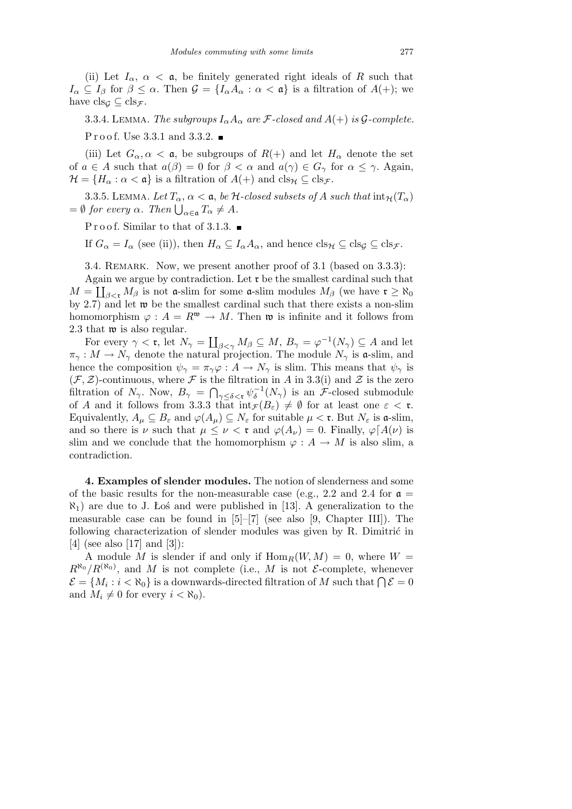(ii) Let  $I_\alpha$ ,  $\alpha < \mathfrak{a}$ , be finitely generated right ideals of R such that  $I_{\alpha} \subseteq I_{\beta}$  for  $\beta \leq \alpha$ . Then  $\mathcal{G} = \{I_{\alpha}A_{\alpha} : \alpha < \mathfrak{a}\}\$ is a filtration of  $A(+)$ ; we have  $\operatorname{cls}_{\mathcal{G}} \subseteq \operatorname{cls}_{\mathcal{F}}$ .

3.3.4. LEMMA. *The subgroups*  $I_{\alpha}A_{\alpha}$  *are*  $\mathcal{F}$ *-closed and*  $A(+)$  *is*  $\mathcal{G}$ *-complete.* Proof. Use 3.3.1 and 3.3.2.  $\blacksquare$ 

(iii) Let  $G_{\alpha}, \alpha < \mathfrak{a}$ , be subgroups of  $R(+)$  and let  $H_{\alpha}$  denote the set of  $a \in A$  such that  $a(\beta) = 0$  for  $\beta < \alpha$  and  $a(\gamma) \in G_\gamma$  for  $\alpha \leq \gamma$ . Again,  $\mathcal{H} = \{H_{\alpha} : \alpha < \mathfrak{a}\}\$ is a filtration of  $A(+)$  and  $\text{cls}_{\mathcal{H}} \subseteq \text{cls}_{\mathcal{F}}\$ .

3.3.5. LEMMA. Let  $T_\alpha$ ,  $\alpha < \mathfrak{a}$ , be  $\mathcal{H}\text{-closed subsets of }A$  such that  $\text{int}_{\mathcal{H}}(T_\alpha)$  $= ∅$  *for every α. Then*  $\bigcup_{\alpha \in \mathfrak{a}} T_{\alpha} \neq A$ *.* 

Proof. Similar to that of 3.1.3.  $\blacksquare$ 

If  $G_{\alpha} = I_{\alpha}$  (see (ii)), then  $H_{\alpha} \subseteq I_{\alpha}A_{\alpha}$ , and hence  $\text{cls}_{\mathcal{H}} \subseteq \text{cls}_{\mathcal{G}} \subseteq \text{cls}_{\mathcal{F}}$ .

3.4. REMARK. Now, we present another proof of 3.1 (based on 3.3.3):

Again we argue by contradiction. Let  $\mathfrak{r}$  be the smallest cardinal such that  $M = \coprod_{\beta < r} M_\beta$  is not **a**-slim for some **a**-slim modules  $M_\beta$  (we have  $r \geq \aleph_0$ by 2.7) and let w be the smallest cardinal such that there exists a non-slim homomorphism  $\varphi : A = R^{\mathfrak{w}} \to M$ . Then  $\mathfrak{w}$  is infinite and it follows from 2.3 that **w** is also regular.  $\overline{r}$ 

For every  $\gamma < \mathfrak{r}$ , let  $N_{\gamma} =$  $\beta \leq M, B_{\gamma} = \varphi^{-1}(N_{\gamma}) \subseteq A$  and let  $\pi_{\gamma}: M \to N_{\gamma}$  denote the natural projection. The module  $N_{\gamma}$  is a-slim, and hence the composition  $\psi_{\gamma} = \pi_{\gamma} \varphi : A \to N_{\gamma}$  is slim. This means that  $\psi_{\gamma}$  is  $(\mathcal{F}, \mathcal{Z})$ -continuous, where  $\mathcal{F}$  is the filtration in *A* in 3.3(i) and  $\mathcal{Z}$  is the zero filtration of  $N_{\gamma}$ . Now,  $B_{\gamma} = \bigcap_{\gamma \leq \delta \leq \mathfrak{r}} \psi_{\delta}^{-1}(N_{\gamma})$  is an *F*-closed submodule of *A* and it follows from 3.3.3 that  $\text{int}_{\mathcal{F}}(B_{\varepsilon}) \neq \emptyset$  for at least one  $\varepsilon < \tau$ . Equivalently,  $A_\mu \subseteq B_\varepsilon$  and  $\varphi(A_\mu) \subseteq N_\varepsilon$  for suitable  $\mu < \mathfrak{r}$ . But  $N_\varepsilon$  is a-slim, and so there is *ν* such that  $\mu \leq \nu < \mathfrak{r}$  and  $\varphi(A_{\nu}) = 0$ . Finally,  $\varphi[A(\nu)]$  is slim and we conclude that the homomorphism  $\varphi : A \to M$  is also slim, a contradiction.

**4. Examples of slender modules.** The notion of slenderness and some of the basic results for the non-measurable case (e.g., 2.2 and 2.4 for  $\mathfrak{a} =$ *ℵ*1) are due to J. Łoś and were published in [13]. A generalization to the measurable case can be found in  $[5]-[7]$  (see also [9, Chapter III]). The following characterization of slender modules was given by  $R$ . Dimitric in [4] (see also [17] and [3]):

A module M is slender if and only if  $\text{Hom}_R(W, M) = 0$ , where  $W =$  $R^{\aleph_0}/R^{(\aleph_0)}$ , and *M* is not complete (i.e., *M* is not *E*-complete, whenever  $\mathcal{E} = \{M_i : i < \aleph_0\}$  is a downwards-directed filtration of *M* such that  $\bigcap \mathcal{E} = 0$ and  $M_i \neq 0$  for every  $i < \aleph_0$ ).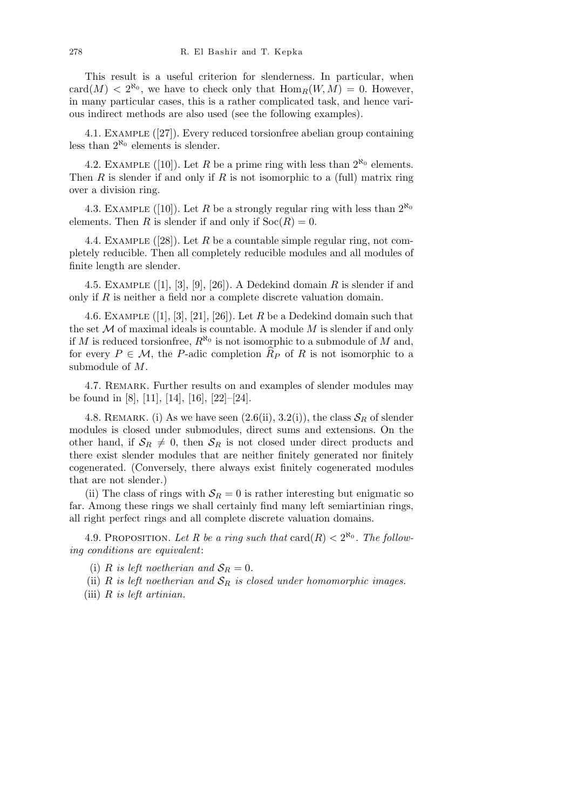This result is a useful criterion for slenderness. In particular, when  $card(M) < 2^{\aleph_0}$ , we have to check only that  $Hom_R(W, M) = 0$ . However, in many particular cases, this is a rather complicated task, and hence various indirect methods are also used (see the following examples).

4.1. Example ([27]). Every reduced torsionfree abelian group containing less than  $2^{\aleph_0}$  elements is slender.

4.2. EXAMPLE ([10]). Let *R* be a prime ring with less than  $2^{\aleph_0}$  elements. Then *R* is slender if and only if *R* is not isomorphic to a (full) matrix ring over a division ring.

4.3. EXAMPLE ([10]). Let *R* be a strongly regular ring with less than  $2^{\aleph_0}$ elements. Then *R* is slender if and only if  $Soc(R) = 0$ .

4.4. Example ([28]). Let *R* be a countable simple regular ring, not completely reducible. Then all completely reducible modules and all modules of finite length are slender.

4.5. Example ([1], [3], [9], [26]). A Dedekind domain *R* is slender if and only if *R* is neither a field nor a complete discrete valuation domain.

4.6. EXAMPLE  $([1], [3], [21], [26])$ . Let  $R$  be a Dedekind domain such that the set *M* of maximal ideals is countable. A module *M* is slender if and only if *M* is reduced torsionfree,  $R^{\aleph_0}$  is not isomorphic to a submodule of *M* and, for every  $P \in \mathcal{M}$ , the *P*-adic completion  $\widehat{R}_P$  of *R* is not isomorphic to a submodule of *M*.

4.7. Remark. Further results on and examples of slender modules may be found in [8], [11], [14], [16], [22]–[24].

4.8. REMARK. (i) As we have seen  $(2.6(ii), 3.2(i))$ , the class  $S_R$  of slender modules is closed under submodules, direct sums and extensions. On the other hand, if  $S_R \neq 0$ , then  $S_R$  is not closed under direct products and there exist slender modules that are neither finitely generated nor finitely cogenerated. (Conversely, there always exist finitely cogenerated modules that are not slender.)

(ii) The class of rings with  $S_R = 0$  is rather interesting but enigmatic so far. Among these rings we shall certainly find many left semiartinian rings, all right perfect rings and all complete discrete valuation domains.

4.9. PROPOSITION. Let R be a ring such that  $\text{card}(R) < 2^{\aleph_0}$ . The follow*ing conditions are equivalent*:

(i) *R is left noetherian and*  $S_R = 0$ .

(ii)  $R$  *is left noetherian and*  $S_R$  *is closed under homomorphic images.* 

(iii) *R is left artinian.*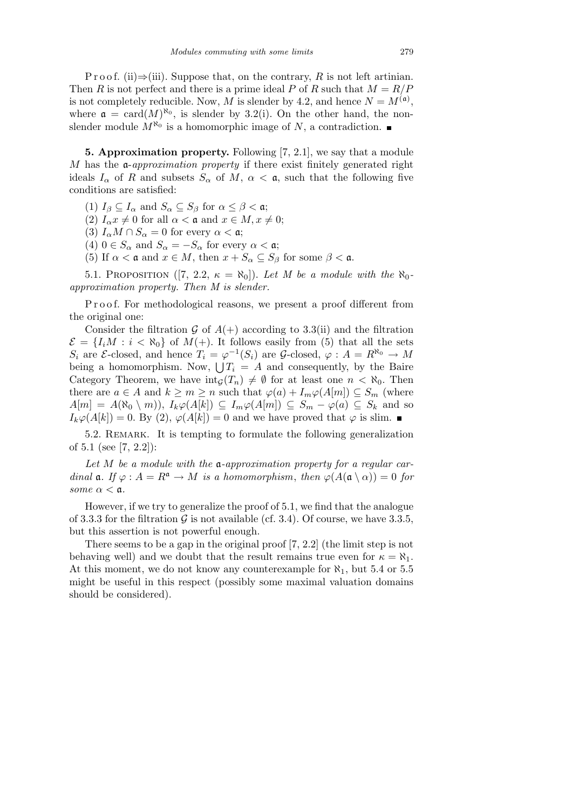P r o o f. (ii) $\Rightarrow$ (iii). Suppose that, on the contrary, R is not left artinian. Then *R* is not perfect and there is a prime ideal *P* of *R* such that  $M = R/P$ is not completely reducible. Now, *M* is slender by 4.2, and hence  $N = M^{(\mathfrak{a})}$ , where  $\mathfrak{a} = \text{card}(M)^{\aleph_0}$ , is slender by 3.2(i). On the other hand, the nonslender module  $M^{\aleph_0}$  is a homomorphic image of N, a contradiction.

**5. Approximation property.** Following [7, 2.1], we say that a module *M* has the a-*approximation property* if there exist finitely generated right ideals  $I_{\alpha}$  of *R* and subsets  $S_{\alpha}$  of *M*,  $\alpha < \mathfrak{a}$ , such that the following five conditions are satisfied:

(1)  $I_\beta \subseteq I_\alpha$  and  $S_\alpha \subseteq S_\beta$  for  $\alpha \leq \beta < \mathfrak{a}$ ;

(2)  $I_{\alpha}x \neq 0$  for all  $\alpha < \mathfrak{a}$  and  $x \in M, x \neq 0;$ 

(3)  $I_{\alpha}M \cap S_{\alpha} = 0$  for every  $\alpha < \mathfrak{a}$ ;

(4)  $0 \in S_\alpha$  and  $S_\alpha = -S_\alpha$  for every  $\alpha < \mathfrak{a}$ ;

(5) If  $\alpha < \mathfrak{a}$  and  $x \in M$ , then  $x + S_\alpha \subseteq S_\beta$  for some  $\beta < \mathfrak{a}$ .

5.1. PROPOSITION ([7, 2.2,  $\kappa = \aleph_0$ ]). Let M be a module with the  $\aleph_0$ *approximation property. Then M is slender.*

P r o o f. For methodological reasons, we present a proof different from the original one:

Consider the filtration  $G$  of  $A(+)$  according to 3.3(ii) and the filtration  $\mathcal{E} = \{I_iM : i < \aleph_0\}$  of  $M(+)$ . It follows easily from (5) that all the sets  $S_i$  are  $\mathcal{E}\text{-closed}$ , and hence  $T_i = \varphi^{-1}(S_i)$  are  $\mathcal{G}\text{-closed}$ ,  $\varphi : A = R^{\aleph_0} \to M$ <br>being a homomorphism. Now,  $\bigcup T_i = A$  and consequently, by the Baire Category Theorem, we have  $\text{int}_{\mathcal{G}}(T_n) \neq \emptyset$  for at least one  $n < \aleph_0$ . Then there are  $a \in A$  and  $k \geq m \geq n$  such that  $\varphi(a) + I_m \varphi(A[m]) \subseteq S_m$  (where  $A[m] = A(\aleph_0 \setminus m)$ ,  $I_k \varphi(A[k]) \subseteq I_m \varphi(A[m]) \subseteq S_m - \varphi(a) \subseteq S_k$  and so  $I_k\varphi(A[k]) = 0$ . By (2),  $\varphi(A[k]) = 0$  and we have proved that  $\varphi$  is slim.

5.2. Remark. It is tempting to formulate the following generalization of 5.1 (see [7, 2.2]):

*Let M be a module with the* a*-approximation property for a regular cardinal*  $\mathfrak{a}$ *. If*  $\varphi : A = R^{\mathfrak{a}} \to M$  *is a homomorphism, then*  $\varphi(A(\mathfrak{a} \setminus \alpha)) = 0$  *for some*  $\alpha < \mathfrak{a}$ *.* 

However, if we try to generalize the proof of 5.1, we find that the analogue of 3.3.3 for the filtration  $\mathcal G$  is not available (cf. 3.4). Of course, we have 3.3.5, but this assertion is not powerful enough.

There seems to be a gap in the original proof [7, 2.2] (the limit step is not behaving well) and we doubt that the result remains true even for  $\kappa = \aleph_1$ . At this moment, we do not know any counterexample for *ℵ*1, but 5.4 or 5.5 might be useful in this respect (possibly some maximal valuation domains should be considered).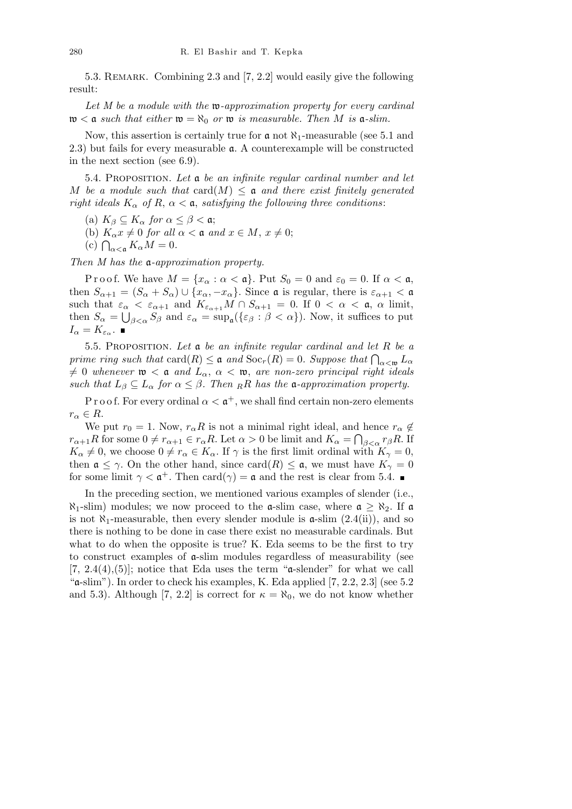5.3. Remark. Combining 2.3 and [7, 2.2] would easily give the following result:

*Let M be a module with the* w*-approximation property for every cardinal*  $w < a$  *such that either*  $w = \aleph_0$  *or*  $w$  *is measurable. Then M is*  $a$ -*slim.* 

Now, this assertion is certainly true for a not *ℵ*1-measurable (see 5.1 and 2.3) but fails for every measurable a. A counterexample will be constructed in the next section (see 6.9).

5.4. Proposition. *Let* a *be an infinite regular cardinal number and let M* be a module such that  $card(M) \leq \mathfrak{a}$  and there exist finitely generated *right ideals*  $K_{\alpha}$  *of*  $R$ ,  $\alpha < \mathfrak{a}$ , *satisfying the following three conditions:* 

(a)  $K_{\beta} \subseteq K_{\alpha}$  *for*  $\alpha \leq \beta < \alpha$ ;

(b)  $K_{\alpha}x \neq 0$  *for all*  $\alpha < \mathfrak{a}$  *and*  $x \in M$ ,  $x \neq 0$ ;

(c)  $\bigcap_{\alpha < \mathfrak{a}} K_{\alpha} M = 0$ .<br>(c)  $\bigcap_{\alpha < \mathfrak{a}} K_{\alpha} M = 0$ .

*Then M has the* a*-approximation property.*

P r o o f. We have  $M = \{x_\alpha : \alpha < \mathfrak{a}\}\$ . Put  $S_0 = 0$  and  $\varepsilon_0 = 0$ . If  $\alpha < \mathfrak{a}$ , then  $S_{\alpha+1} = (S_{\alpha} + S_{\alpha}) \cup \{x_{\alpha}, -x_{\alpha}\}\$ . Since  $\mathfrak{a}$  is regular, there is  $\varepsilon_{\alpha+1} < \mathfrak{a}$ such that  $\varepsilon_{\alpha} < \varepsilon_{\alpha+1}$  and  $K_{\varepsilon_{\alpha+1}} M \cap S_{\alpha+1} = 0$ . If  $0 < \alpha < \mathfrak{a}$ ,  $\alpha$  limit, then  $S_\alpha = \bigcup_{\beta < \alpha} S_\beta$  and  $\varepsilon_\alpha = \sup_{\alpha} (\{\varepsilon_\beta : \beta < \alpha\})$ . Now, it suffices to put  $I_{\alpha} = K_{\varepsilon_{\alpha}}$ .

5.5. Proposition. *Let* a *be an infinite regular cardinal and let R be a prime ring such that*  $\text{card}(R) \leq \mathfrak{a}$  *and*  $\text{Soc}_r(R) = 0$ *. Suppose that*  $\bigcap_{\alpha < \mathfrak{w}} L_{\alpha}$  $\neq 0$  whenever  $\mathfrak{w} < \mathfrak{a}$  and  $L_{\alpha}$ ,  $\alpha < \mathfrak{w}$ , are non-zero principal right ideals *such that*  $L_{\beta} \subseteq L_{\alpha}$  *for*  $\alpha \leq \beta$ *. Then RR has the* **a**-approximation property.

P r o o f. For every ordinal  $\alpha < \mathfrak{a}^+$ , we shall find certain non-zero elements  $r_{\alpha} \in R$ .

We put  $r_0 = 1$ . Now,  $r_\alpha R$  is not a minimal right ideal, and hence  $r_\alpha \notin$ *r*<sub>α+1</sub>*R* for some  $0 \neq r_{\alpha+1} \in r_{\alpha}R$ . Let  $\alpha > 0$  be limit and  $K_{\alpha} = \bigcap_{\beta < \alpha} r_{\beta}R$ . If  $K_{\alpha} \neq 0$ , we choose  $0 \neq r_{\alpha} \in K_{\alpha}$ . If  $\gamma$  is the first limit ordinal with  $K_{\gamma} = 0$ , then  $\mathfrak{a} \leq \gamma$ . On the other hand, since card(*R*)  $\leq \mathfrak{a}$ , we must have  $K_{\gamma} = 0$ for some limit  $\gamma < \mathfrak{a}^+$ . Then card $(\gamma) = \mathfrak{a}$  and the rest is clear from 5.4.

In the preceding section, we mentioned various examples of slender (i.e.,  $\aleph_1$ -slim) modules; we now proceed to the **a**-slim case, where  $\mathfrak{a} \geq \aleph_2$ . If **a** is not  $\aleph_1$ -measurable, then every slender module is  $\mathfrak{a}$ -slim  $(2.4(ii))$ , and so there is nothing to be done in case there exist no measurable cardinals. But what to do when the opposite is true? K. Eda seems to be the first to try to construct examples of a-slim modules regardless of measurability (see  $[7, 2.4(4), (5)]$ ; notice that Eda uses the term " $\alpha$ -slender" for what we call " $\alpha$ -slim"). In order to check his examples, K. Eda applied [7, 2.2, 2.3] (see 5.2) and 5.3). Although [7, 2.2] is correct for  $\kappa = \aleph_0$ , we do not know whether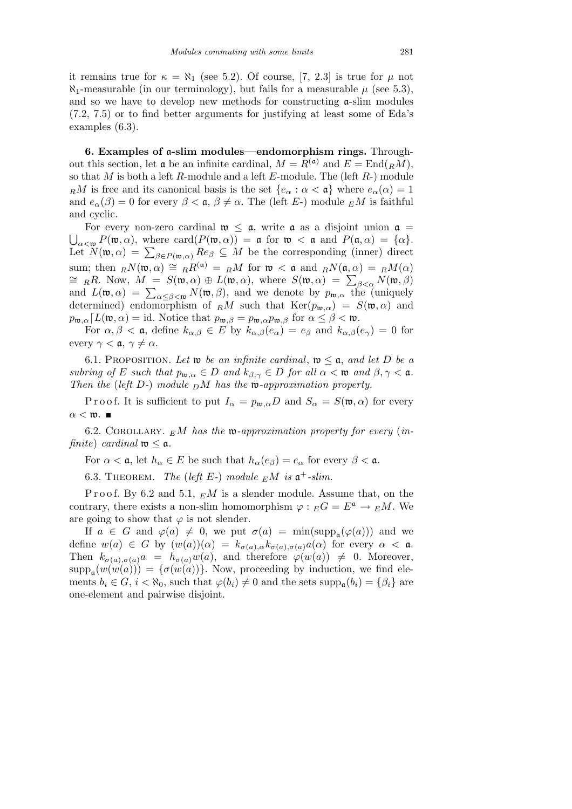it remains true for  $\kappa = \aleph_1$  (see 5.2). Of course, [7, 2.3] is true for  $\mu$  not  $\aleph_1$ -measurable (in our terminology), but fails for a measurable  $\mu$  (see 5.3), and so we have to develop new methods for constructing  $\alpha$ -slim modules (7.2, 7.5) or to find better arguments for justifying at least some of Eda's examples (6.3).

**6. Examples of** a**-slim modules—endomorphism rings.** Throughout this section, let  $\mathfrak{a}$  be an infinite cardinal,  $M = R^{(\mathfrak{a})}$  and  $E = \text{End}_{R}(R)$ , so that *M* is both a left *R*-module and a left *E*-module. The (left *R*-) module *RM* is free and its canonical basis is the set  ${e_\alpha : \alpha < \mathfrak{a}}$  where  $e_\alpha(\alpha) = 1$ and  $e_{\alpha}(\beta) = 0$  for every  $\beta < \mathfrak{a}, \beta \neq \alpha$ . The (left *E*-) module  $EM$  is faithful and cyclic.

For every non-zero cardinal  $\mathfrak{w} \leq \mathfrak{a}$ , write  $\mathfrak{a}$  as a disjoint union  $\mathfrak{a} =$  $P(\mathfrak{w}, \alpha)$ , where card( $P(\mathfrak{w}, \alpha)$ ) = **a** for  $\mathfrak{w} < \mathfrak{a}$  and  $P(\mathfrak{a}, \alpha) = {\alpha}$ .  $\bigcup_{\alpha < \mathfrak{w}} P(\mathfrak{w}, \alpha) = \sum_{\beta \in P(\mathfrak{w}, \alpha)} Re_{\beta} \subseteq M$  be the corresponding (inner) direct sum; then  $\mathbb{R}N(\mathfrak{w}, \alpha) \cong \mathbb{R}R^{(\mathfrak{a})} = \mathbb{R}M$  for  $\mathfrak{w} < \mathfrak{a}$  and  $\mathbb{R}N(\mathfrak{a}, \alpha) = \mathbb{R}M(\alpha)$ sum; then  $R^N(\mathfrak{n}, \alpha) = R^N(\mathfrak{n}^*) = R^N$  for  $\mathfrak{n}^* < \mathfrak{a}$  and  $R^N(\mathfrak{a}, \alpha) = R^M(\alpha)$ <br>  $\cong R^N$ . Now,  $M = S(\mathfrak{w}, \alpha) \oplus L(\mathfrak{w}, \alpha)$ , where  $S(\mathfrak{w}, \alpha) = \sum_{\beta < \alpha} N(\mathfrak{w}, \beta)$  $=$  *RR*. Now,  $M = S(\mathfrak{w}, \alpha) \oplus L(\mathfrak{w}, \alpha)$ , where  $S(\mathfrak{w}, \alpha) = \sum_{\alpha \leq \beta < \mathfrak{w}} N(\mathfrak{w}, \beta)$ <br>and  $L(\mathfrak{w}, \alpha) = \sum_{\alpha \leq \beta < \mathfrak{w}} N(\mathfrak{w}, \beta)$ , and we denote by  $p_{\mathfrak{w}, \alpha}$  the (uniquely determined) endomorphism of  $\mathbb{R}^M$  such that  $\text{Ker}(p_{\mathfrak{w},\alpha}) = S(\mathfrak{w},\alpha)$  and  $p_{\mathfrak{w},\alpha}$ *[L*( $\mathfrak{w},\alpha$ ) = id. Notice that  $p_{\mathfrak{w},\beta} = p_{\mathfrak{w},\alpha}p_{\mathfrak{w},\beta}$  for  $\alpha \leq \beta < \mathfrak{w}$ .

For  $\alpha, \beta < \mathfrak{a}$ , define  $k_{\alpha,\beta} \in E$  by  $k_{\alpha,\beta}(e_{\alpha}) = e_{\beta}$  and  $k_{\alpha,\beta}(e_{\gamma}) = 0$  for every  $\gamma < \mathfrak{a}, \gamma \neq \alpha$ .

6.1. PROPOSITION. Let **w** be an infinite cardinal,  $\mathfrak{w} \leq \mathfrak{a}$ , and let D be a *subring of E such that*  $p_{\mathfrak{w},\alpha} \in D$  *and*  $k_{\beta,\gamma} \in D$  *for all*  $\alpha < \mathfrak{w}$  *and*  $\beta, \gamma < \mathfrak{a}$ *. Then the* (*left D-*) *module <sup>D</sup>M has the* w*-approximation property.*

Proof. It is sufficient to put  $I_{\alpha} = p_{\mathfrak{w},\alpha}D$  and  $S_{\alpha} = S(\mathfrak{w},\alpha)$  for every  $\alpha < \mathfrak{w}$ .  $\blacksquare$ 

6.2. Corollary. *<sup>E</sup>M has the* w*-approximation property for every* (*infinite*) *cardinal*  $\mathfrak{w} \leq \mathfrak{a}$ *.* 

For  $\alpha < \mathfrak{a}$ , let  $h_{\alpha} \in E$  be such that  $h_{\alpha}(e_{\beta}) = e_{\alpha}$  for every  $\beta < \mathfrak{a}$ .

6.3. THEOREM. *The* (*left*  $E$ -) module  $EM$  is  $\mathfrak{a}^+$ -slim.

Proof. By 6.2 and 5.1,  $\epsilon M$  is a slender module. Assume that, on the contrary, there exists a non-slim homomorphism  $\varphi : _EG = E^{\mathfrak{a}} \to _EM$ . We are going to show that  $\varphi$  is not slender.

If  $a \in G$  and  $\varphi(a) \neq 0$ , we put  $\sigma(a) = \min(\text{supp}_{a}(\varphi(a)))$  and we define  $w(a) \in G$  by  $(w(a))(\alpha) = k_{\sigma(a),\alpha}k_{\sigma(a),\sigma(a)}a(\alpha)$  for every  $\alpha < \mathfrak{a}$ . Then  $k_{\sigma(a),\sigma(a)}a = h_{\sigma(a)}w(a)$ , and therefore  $\varphi(w(a)) \neq 0$ . Moreover,  $\text{supp}_{a}(w(w(a))) = {\sigma(w(a))}.$  Now, proceeding by induction, we find elements  $b_i \in G$ ,  $i < \aleph_0$ , such that  $\varphi(b_i) \neq 0$  and the sets  $\text{supp}_{\mathfrak{a}}(b_i) = {\beta_i}$  are one-element and pairwise disjoint.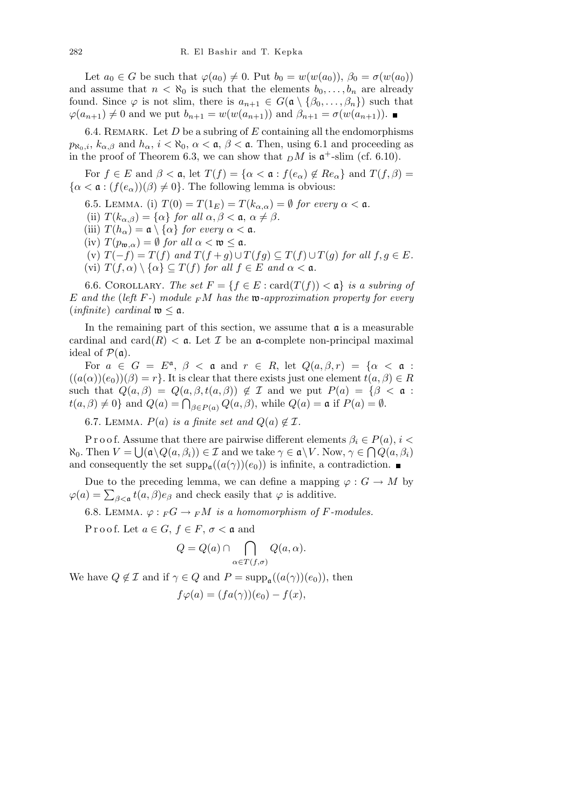Let  $a_0 \in G$  be such that  $\varphi(a_0) \neq 0$ . Put  $b_0 = w(w(a_0))$ ,  $\beta_0 = \sigma(w(a_0))$ and assume that  $n < \aleph_0$  is such that the elements  $b_0, \ldots, b_n$  are already found. Since  $\varphi$  is not slim, there is  $a_{n+1} \in G(\mathfrak{a} \setminus \{\beta_0, \ldots, \beta_n\})$  such that  $\varphi(a_{n+1}) \neq 0$  and we put  $b_{n+1} = w(w(a_{n+1}))$  and  $\beta_{n+1} = \sigma(w(a_{n+1}))$ . ■

6.4. Remark. Let *D* be a subring of *E* containing all the endomorphisms  $p_{\aleph_0,i}, k_{\alpha,\beta}$  and  $h_{\alpha}, i < \aleph_0, \alpha < \mathfrak{a}, \beta < \mathfrak{a}$ . Then, using 6.1 and proceeding as in the proof of Theorem 6.3, we can show that  $\Delta M$  is  $\mathfrak{a}^+$ -slim (cf. 6.10).

For  $f \in E$  and  $\beta < \mathfrak{a}$ , let  $T(f) = {\alpha < \mathfrak{a} : f(e_{\alpha}) \notin Re_{\alpha}}$  and  $T(f, \beta) =$  $\{\alpha < \mathfrak{a} : (f(e_{\alpha}))(\beta) \neq 0\}$ . The following lemma is obvious:

- 6.5. LEMMA. (i)  $T(0) = T(1_E) = T(k_{\alpha,\alpha}) = \emptyset$  for every  $\alpha < \mathfrak{a}$ .
- (ii)  $T(k_{\alpha,\beta}) = {\alpha}$  *for all*  $\alpha, \beta < \mathfrak{a}, \alpha \neq \beta$ *.*
- (iii)  $T(h_\alpha) = \mathfrak{a} \setminus \{ \alpha \}$  *for every*  $\alpha < \mathfrak{a}$ *.*
- $\text{(iv)}$   $T(p_{\mathfrak{w},\alpha}) = \emptyset$  *for all*  $\alpha < \mathfrak{w} \leq \mathfrak{a}$ *.*
- (v)  $T(-f) = T(f)$  and  $T(f+g) \cup T(fg) \subseteq T(f) \cup T(g)$  for all  $f, g \in E$ .
- $\{v_i\}$   $T(f, \alpha) \setminus \{\alpha\} \subseteq T(f)$  *for all*  $f \in E$  *and*  $\alpha < \alpha$ *.*

6.6. COROLLARY. *The set*  $F = \{f \in E : \text{card}(T(f)) < \mathfrak{a}\}\$ is a subring of *E and the* (*left F-*) *module <sup>F</sup>M has the* w*-approximation property for every*  $(infinite) \; cardinal \; \mathfrak{w} \leq \mathfrak{a}.$ 

In the remaining part of this section, we assume that  $\alpha$  is a measurable cardinal and card $(R)$  <  $\alpha$ . Let *I* be an  $\alpha$ -complete non-principal maximal ideal of  $P(\mathfrak{a})$ .

For  $a \in G = E^{\mathfrak{a}}, \ \beta < \mathfrak{a}$  and  $r \in R$ , let  $Q(a, \beta, r) = \{ \alpha < \mathfrak{a} :$  $((a(\alpha))(e_0))(\beta) = r$ . It is clear that there exists just one element  $t(a, \beta) \in R$ such that  $Q(a, \beta) = Q(a, \beta, t(a, \beta)) \notin \mathcal{I}$  and we put  $P(a) = \{\beta < a :$ *t*(*a*, *β*) ≠ 0} and *Q*(*a*) =  $\bigcap_{\beta \in P(a)} Q(a, \beta)$ , while *Q*(*a*) = **a** if *P*(*a*) = *Ø*.

6.7. LEMMA.  $P(a)$  *is a finite set and*  $Q(a) \notin \mathcal{I}$ .

P r o o f. Assume that there are pairwise different elements  $\beta_i \in P(a), i <$ <br>The  $N_i \rightarrow N_i$  $\aleph_0$ . Then  $V = \bigcup (\mathfrak{a} \setminus Q(a, \beta_i)) \in \mathcal{I}$  and we take  $\gamma \in \mathfrak{a} \setminus V$ . Now,  $\gamma \in \bigcap Q(a, \beta_i)$ and consequently the set  $\text{supp}_{a}((a(\gamma))(e_0))$  is infinite, a contradiction.

Due to the preceding lemma, we can define a mapping  $\varphi : G \to M$  by  $\varphi$ (*a*) =  $\sum_{\beta < \mathfrak{a}} t(a, \beta) e_{\beta}$  and check easily that *ϕ* is additive.

6.8. LEMMA.  $\varphi: F G \to F M$  *is a homomorphism of F-modules.* 

P r o o f. Let  $a \in G$ ,  $f \in F$ ,  $\sigma < \mathfrak{a}$  and

$$
Q = Q(a) \cap \bigcap_{\alpha \in T(f, \sigma)} Q(a, \alpha).
$$

We have  $Q \notin \mathcal{I}$  and if  $\gamma \in Q$  and  $P = \text{supp}_{\mathfrak{a}}((a(\gamma))(e_0)),$  then

$$
f\varphi(a) = (fa(\gamma))(e_0) - f(x),
$$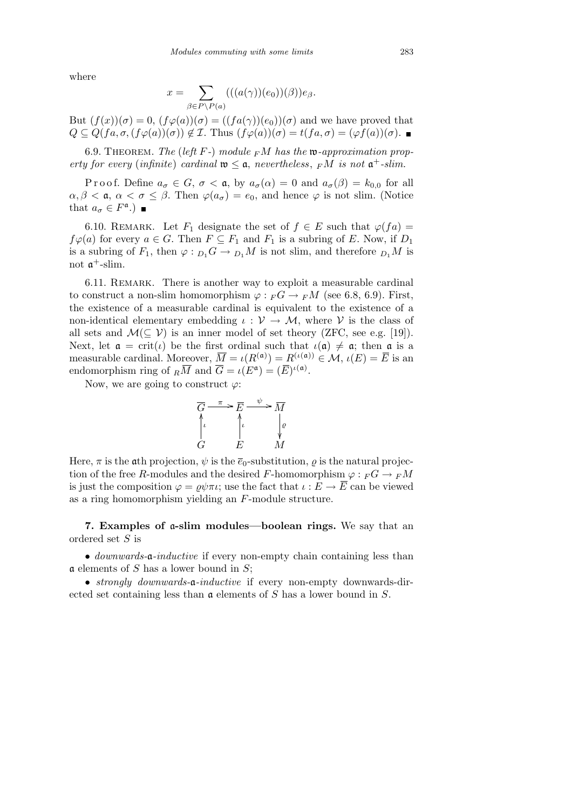where

$$
x = \sum_{\beta \in P \backslash P(a)} (((a(\gamma))(e_0))(\beta))e_{\beta}.
$$

But  $(f(x))(\sigma) = 0$ ,  $(f\varphi(a))(\sigma) = ((fa(\gamma))(e_0))(\sigma)$  and we have proved that  $Q \subseteq Q(fa, \sigma, (f\varphi(a))(\sigma)) \notin \mathcal{I}$ . Thus  $(f\varphi(a))(\sigma) = t(fa, \sigma) = (\varphi f(a))(\sigma)$ .

6.9. THEOREM. The (left  $F$ -) module  $F M$  has the  $\mathfrak{w}$ -approximation prop*erty for every* (*infinite*) *cardinal*  $\mathfrak{w} \leq \mathfrak{a}$ , *nevertheless*,  $\,F\!M$  *is not*  $\mathfrak{a}^+$ -*slim.* 

Proof. Define  $a_{\sigma} \in G$ ,  $\sigma < \mathfrak{a}$ , by  $a_{\sigma}(\alpha) = 0$  and  $a_{\sigma}(\beta) = k_{0,0}$  for all *α, β* < *α, α* < *σ* ≤ *β*. Then  $\varphi$ (*a<sub>σ</sub>*) = *e*<sub>0</sub>, and hence  $\varphi$  is not slim. (Notice that  $a_{\sigma} \in F^{\mathfrak{a}}$ .)

6.10. REMARK. Let  $F_1$  designate the set of  $f \in E$  such that  $\varphi(fa) =$  $f\varphi(a)$  for every  $a \in G$ . Then  $F \subseteq F_1$  and  $F_1$  is a subring of *E*. Now, if  $D_1$ is a subring of  $F_1$ , then  $\varphi: D_1 G \to D_1 M$  is not slim, and therefore  $D_1 M$  is not  $\mathfrak{a}^+$ -slim.

6.11. Remark. There is another way to exploit a measurable cardinal to construct a non-slim homomorphism  $\varphi :_{F}G \to {}_{F}M$  (see 6.8, 6.9). First, the existence of a measurable cardinal is equivalent to the existence of a non-identical elementary embedding  $\iota : \mathcal{V} \to \mathcal{M}$ , where  $\mathcal{V}$  is the class of all sets and  $\mathcal{M}(\subseteq \mathcal{V})$  is an inner model of set theory (ZFC, see e.g. [19]). Next, let  $\mathfrak{a} = \text{crit}(\iota)$  be the first ordinal such that  $\iota(\mathfrak{a}) \neq \mathfrak{a}$ ; then  $\mathfrak{a}$  is a measurable cardinal. Moreover,  $\overline{M} = \iota(R^{(\mathfrak{a})}) = R^{(\iota(\mathfrak{a}))} \in \mathcal{M}, \iota(E) = \overline{E}$  is an endomorphism ring of  $_R\overline{M}$  and  $\overline{G} = \iota(E^{\mathfrak{a}}) = (\overline{E})^{\iota(\mathfrak{a})}$ .

Now, we are going to construct *ϕ*:



Here,  $\pi$  is the ath projection,  $\psi$  is the  $\bar{e}_0$ -substitution,  $\rho$  is the natural projection of the free *R*-modules and the desired *F*-homomorphism  $\varphi : F G \to F M$ is just the composition  $\varphi = \rho \psi \pi \iota$ ; use the fact that  $\iota : E \to \overline{E}$  can be viewed as a ring homomorphism yielding an *F*-module structure.

**7. Examples of** a**-slim modules—boolean rings.** We say that an ordered set *S* is

*• downwards-*a*-inductive* if every non-empty chain containing less than a elements of *S* has a lower bound in *S*;

*• strongly downwards-*a*-inductive* if every non-empty downwards-directed set containing less than a elements of *S* has a lower bound in *S*.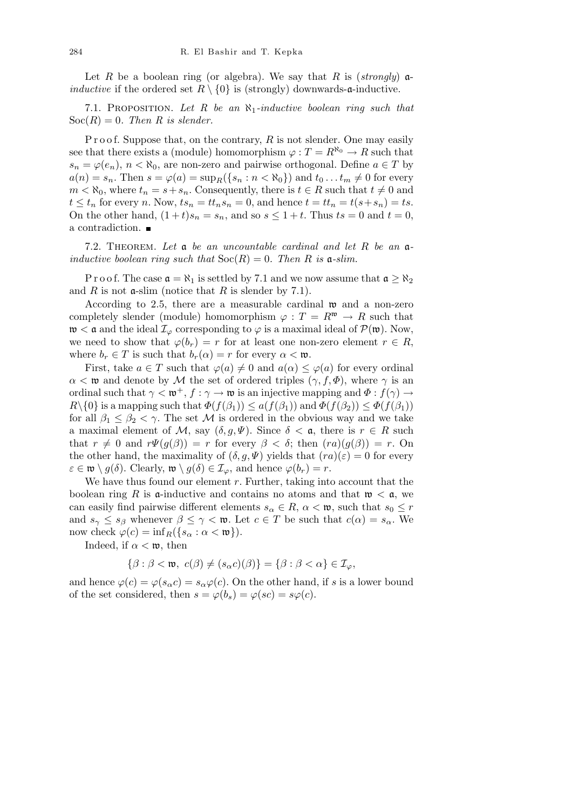Let *R* be a boolean ring (or algebra). We say that *R* is (*strongly*)  $\alpha$ *inductive* if the ordered set  $R \setminus \{0\}$  is (strongly) downwards- $\mathfrak{a}$ -inductive.

7.1. Proposition. *Let R be an ℵ*1*-inductive boolean ring such that*  $Soc(R) = 0$ . Then R is slender.

P r o o f. Suppose that, on the contrary, R is not slender. One may easily see that there exists a (module) homomorphism  $\varphi : T = R^{\aleph_0} \to R$  such that  $s_n = \varphi(e_n)$ ,  $n < \aleph_0$ , are non-zero and pairwise orthogonal. Define  $a \in T$  by  $a(n) = s_n$ . Then  $s = \varphi(a) = \sup_R (\{s_n : n < \aleph_0\})$  and  $t_0 \dots t_m \neq 0$  for every  $m < \aleph_0$ , where  $t_n = s + s_n$ . Consequently, there is  $t \in R$  such that  $t \neq 0$  and  $t \leq t_n$  for every *n*. Now,  $ts_n = tt_ns_n = 0$ , and hence  $t = tt_n = t(s + s_n) = ts$ . On the other hand,  $(1+t)s_n = s_n$ , and so  $s \leq 1+t$ . Thus  $ts = 0$  and  $t = 0$ , a contradiction.

7.2. Theorem. *Let* a *be an uncountable cardinal and let R be an* a*inductive boolean ring such that*  $Soc(R) = 0$ *. Then R is*  $a$ *-slim.* 

P r o o f. The case  $\mathfrak{a} = \aleph_1$  is settled by 7.1 and we now assume that  $\mathfrak{a} \geq \aleph_2$ and  $R$  is not  $\alpha$ -slim (notice that  $R$  is slender by 7.1).

According to 2.5, there are a measurable cardinal  $\mathfrak{w}$  and a non-zero completely slender (module) homomorphism  $\varphi : T = R^{\mathfrak{w}} \to R$  such that  $\mathfrak{w} < \mathfrak{a}$  and the ideal  $\mathcal{I}_{\varphi}$  corresponding to  $\varphi$  is a maximal ideal of  $\mathcal{P}(\mathfrak{w})$ . Now, we need to show that  $\varphi(b_r) = r$  for at least one non-zero element  $r \in R$ , where  $b_r \in T$  is such that  $b_r(\alpha) = r$  for every  $\alpha < \mathfrak{w}$ .

First, take  $a \in T$  such that  $\varphi(a) \neq 0$  and  $a(\alpha) \leq \varphi(a)$  for every ordinal  $\alpha < \mathfrak{w}$  and denote by *M* the set of ordered triples  $(\gamma, f, \Phi)$ , where  $\gamma$  is an ordinal such that  $\gamma < \mathfrak{w}^+$ ,  $f : \gamma \to \mathfrak{w}$  is an injective mapping and  $\Phi : f(\gamma) \to$ *R*<sup> $\setminus$ </sup>{0} is a mapping such that  $\Phi(f(\beta_1)) \leq a(f(\beta_1))$  and  $\Phi(f(\beta_2)) \leq \Phi(f(\beta_1))$ for all  $\beta_1 \leq \beta_2 < \gamma$ . The set *M* is ordered in the obvious way and we take a maximal element of *M*, say  $(\delta, g, \Psi)$ . Since  $\delta < \mathfrak{a}$ , there is  $r \in R$  such that  $r \neq 0$  and  $r\Psi(g(\beta)) = r$  for every  $\beta < \delta$ ; then  $(ra)(g(\beta)) = r$ . On the other hand, the maximality of  $(\delta, g, \Psi)$  yields that  $(ra)(\varepsilon) = 0$  for every  $\varepsilon \in \mathfrak{w} \setminus g(\delta)$ . Clearly,  $\mathfrak{w} \setminus g(\delta) \in \mathcal{I}_{\varphi}$ , and hence  $\varphi(b_r) = r$ .

We have thus found our element *r*. Further, taking into account that the boolean ring R is **a**-inductive and contains no atoms and that  $\mathfrak{w} < \mathfrak{a}$ , we can easily find pairwise different elements  $s_\alpha \in R$ ,  $\alpha < \mathfrak{w}$ , such that  $s_0 \leq r$ and  $s_{\gamma} \leq s_{\beta}$  whenever  $\beta \leq \gamma < \mathfrak{w}$ . Let  $c \in T$  be such that  $c(\alpha) = s_{\alpha}$ . We now check  $\varphi(c) = \inf_{B} (\{s_{\alpha} : \alpha < \mathfrak{w}\}).$ 

Indeed, if  $\alpha < \mathfrak{w}$ , then

$$
\{\beta : \beta < \mathfrak{w}, \ c(\beta) \neq (s_\alpha c)(\beta)\} = \{\beta : \beta < \alpha\} \in \mathcal{I}_\varphi,
$$

and hence  $\varphi(c) = \varphi(s_\alpha c) = s_\alpha \varphi(c)$ . On the other hand, if *s* is a lower bound of the set considered, then  $s = \varphi(b_s) = \varphi(sc) = s\varphi(c)$ .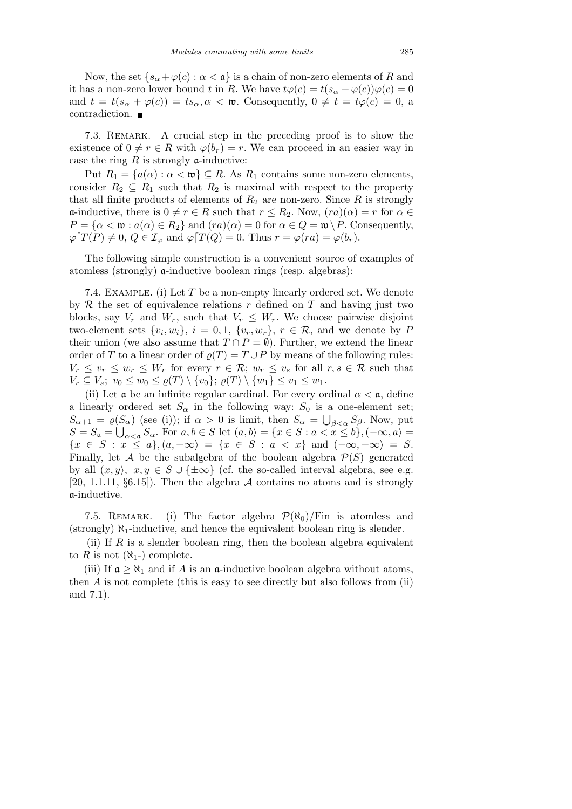Now, the set  $\{s_\alpha + \varphi(c) : \alpha < \mathfrak{a}\}\$ is a chain of non-zero elements of *R* and it has a non-zero lower bound *t* in *R*. We have  $t\varphi(c) = t(s_\alpha + \varphi(c))\varphi(c) = 0$ and  $t = t(s_\alpha + \varphi(c)) = ts_\alpha, \alpha < \mathfrak{w}$ . Consequently,  $0 \neq t = t\varphi(c) = 0$ , a contradiction.  $\blacksquare$ 

7.3. Remark. A crucial step in the preceding proof is to show the existence of  $0 \neq r \in R$  with  $\varphi(b_r) = r$ . We can proceed in an easier way in case the ring  $R$  is strongly  $\alpha$ -inductive:

Put  $R_1 = \{a(\alpha) : \alpha < \mathfrak{w}\}\subseteq R$ . As  $R_1$  contains some non-zero elements, consider  $R_2 \subseteq R_1$  such that  $R_2$  is maximal with respect to the property that all finite products of elements of  $R_2$  are non-zero. Since  $R$  is strongly  $\alpha$ -inductive, there is  $0 \neq r \in R$  such that  $r \leq R_2$ . Now,  $(ra)(\alpha) = r$  for  $\alpha \in R_2$ .  $P = \{ \alpha < \mathfrak{w} : a(\alpha) \in R_2 \}$  and  $(r\alpha)(\alpha) = 0$  for  $\alpha \in Q = \mathfrak{w} \backslash P$ . Consequently,  $\varphi[T(P) \neq 0, Q \in I_\varphi$  and  $\varphi[T(Q) = 0$ . Thus  $r = \varphi(ra) = \varphi(b_r)$ .

The following simple construction is a convenient source of examples of atomless (strongly) a-inductive boolean rings (resp. algebras):

7.4. Example. (i) Let *T* be a non-empty linearly ordered set. We denote by  $R$  the set of equivalence relations  $r$  defined on  $T$  and having just two blocks, say  $V_r$  and  $W_r$ , such that  $V_r \leq W_r$ . We choose pairwise disjoint two-element sets  $\{v_i, w_i\}, i = 0, 1, \{v_r, w_r\}, r \in \mathcal{R}$ , and we denote by P their union (we also assume that  $T \cap P = \emptyset$ ). Further, we extend the linear order of *T* to a linear order of  $\rho(T) = T \cup P$  by means of the following rules:  $V_r \leq v_r \leq w_r \leq W_r$  for every  $r \in \mathcal{R}$ ;  $w_r \leq v_s$  for all  $r, s \in \mathcal{R}$  such that  $V_r \subseteq V_s$ ;  $v_0 \le w_0 \le \varrho(T) \setminus \{v_0\}$ ;  $\varrho(T) \setminus \{w_1\} \le v_1 \le w_1$ .

(ii) Let  $\mathfrak a$  be an infinite regular cardinal. For every ordinal  $\alpha < \mathfrak a$ , define a linearly ordered set  $S_\alpha$  in the following way:  $S_0$  is a one-element set;  $S_{\alpha+1} = \varrho(S_{\alpha})$  (see (i)); if  $\alpha > 0$  is limit, then  $S_{\alpha} = \bigcup_{\beta < \alpha} S_{\beta}$ . Now, put  $S = S_a = \bigcup_{\alpha < a} S_\alpha$ . For  $a, b \in S$  let  $(a, b) = \{x \in S : a < x \leq b\}, (-\infty, a) =$  ${x \in S : x \le a}$ ,  ${(a, +\infty) = {x \in S : a < x}$  and  ${(-\infty, +\infty) = S}$ . Finally, let *A* be the subalgebra of the boolean algebra  $P(S)$  generated by all  $(x, y)$ ,  $x, y \in S \cup \{\pm \infty\}$  (cf. the so-called interval algebra, see e.g. [20, 1.1.11, *§*6.15]). Then the algebra *A* contains no atoms and is strongly a-inductive.

7.5. REMARK. (i) The factor algebra  $\mathcal{P}(\aleph_0)/\text{Fin}$  is atomless and (strongly) *ℵ*1-inductive, and hence the equivalent boolean ring is slender.

(ii) If  $R$  is a slender boolean ring, then the boolean algebra equivalent to *R* is not  $(\aleph_1-)$  complete.

(iii) If  $\mathfrak{a} \geq \aleph_1$  and if *A* is an  $\mathfrak{a}$ -inductive boolean algebra without atoms, then *A* is not complete (this is easy to see directly but also follows from (ii) and 7.1).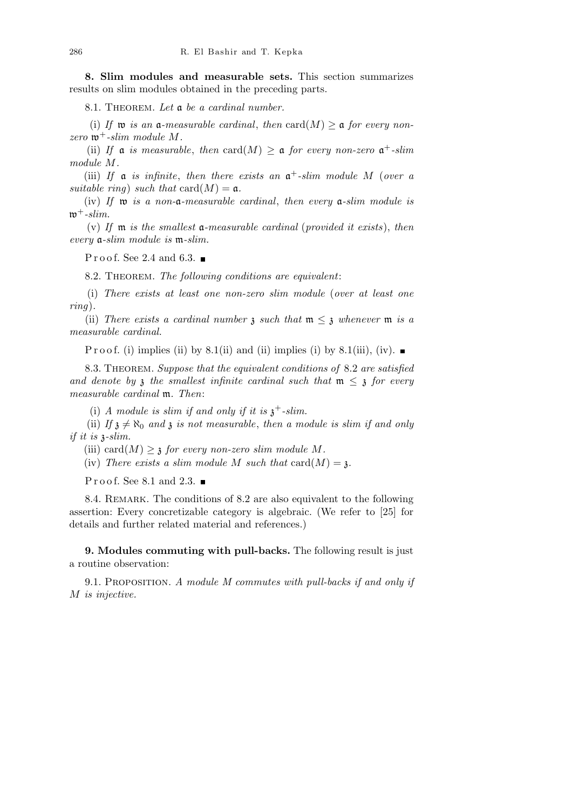**8. Slim modules and measurable sets.** This section summarizes results on slim modules obtained in the preceding parts.

8.1. Theorem. *Let* a *be a cardinal number.*

(i) If  $\mathfrak{w}$  *is an*  $\mathfrak{a}$ -measurable cardinal, then  $\text{card}(M) \geq \mathfrak{a}$  for every non $zero \mathbf{w}^+$ -slim module M.

(ii) If a *is measurable*, *then* card( $M$ )  $\geq$  a *for every non-zero*  $\mathfrak{a}^+$ -*slim module M.*

(iii) If  $\alpha$  *is infinite*, then there exists an  $\alpha^+$ -slim module M (*over*  $\alpha$ *suitable ring*) *such that*  $card(M) = \mathfrak{a}$ .

(iv) *If* w *is a non-*a*-measurable cardinal*, *then every* a*-slim module is*  $\mathfrak{w}^+$ -slim.

(v) *If* m *is the smallest* a*-measurable cardinal* (*provided it exists*), *then every* a*-slim module is* m*-slim.*

Proof. See 2.4 and 6.3.  $\blacksquare$ 

8.2. Theorem. *The following conditions are equivalent*:

(i) *There exists at least one non-zero slim module* (*over at least one ring*)*.*

(ii) *There exists a cardinal number*  $\mathfrak{z}$  *such that*  $\mathfrak{m} \leq \mathfrak{z}$  *whenever*  $\mathfrak{m}$  *is a measurable cardinal.*

P r o o f. (i) implies (ii) by 8.1(ii) and (ii) implies (i) by 8.1(iii), (iv).

8.3. Theorem. *Suppose that the equivalent conditions of* 8.2 *are satisfied* and denote by  $\mathfrak z$  the smallest infinite cardinal such that  $\mathfrak m \leq \mathfrak z$  for every *measurable cardinal* m*. Then*:

(i) *A module is slim if and only if it is*  $\chi^+$ -slim.

(ii) *If*  $\mathfrak{z} \neq \aleph_0$  *and*  $\mathfrak{z}$  *is not measurable, then a module is slim if and only if it is* z*-slim.*

(iii) card $(M) \geq \mathfrak{z}$  *for every non-zero slim module M.* 

(iv) There exists a slim module M such that  $card(M) = \mathfrak{z}$ .

Proof. See 8.1 and 2.3.  $\blacksquare$ 

8.4. Remark. The conditions of 8.2 are also equivalent to the following assertion: Every concretizable category is algebraic. (We refer to [25] for details and further related material and references.)

**9. Modules commuting with pull-backs.** The following result is just a routine observation:

9.1. Proposition. *A module M commutes with pull-backs if and only if M is injective.*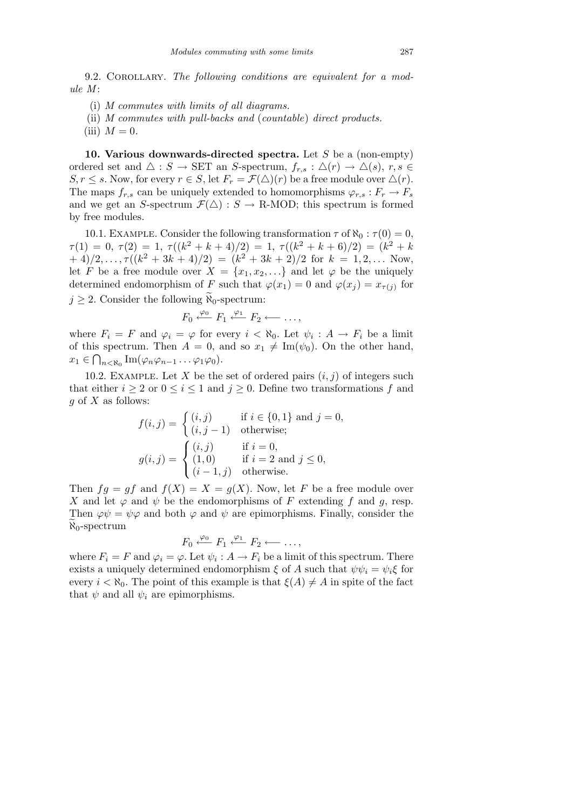9.2. Corollary. *The following conditions are equivalent for a module M* :

- (i) *M commutes with limits of all diagrams.*
- (ii) *M commutes with pull-backs and* (*countable*) *direct products.*
- $(iii)$  *M* = 0.

**10. Various downwards-directed spectra.** Let *S* be a (non-empty) ordered set and  $\Delta$  : *S*  $\rightarrow$  SET an *S*-spectrum,  $f_{r,s}: \Delta(r) \rightarrow \Delta(s)$ ,  $r, s \in$  $S, r \leq s$ . Now, for every  $r \in S$ , let  $F_r = \mathcal{F}(\triangle)(r)$  be a free module over  $\triangle(r)$ . The maps  $f_{r,s}$  can be uniquely extended to homomorphisms  $\varphi_{r,s}: F_r \to F_s$ and we get an *S*-spectrum  $\mathcal{F}(\triangle)$ : *S*  $\rightarrow$  R-MOD; this spectrum is formed by free modules.

10.1. EXAMPLE. Consider the following transformation  $\tau$  of  $\aleph_0 : \tau(0) = 0$ ,  $\tau(1) = 0, \ \tau(2) = 1, \ \tau((k^2 + k + 4)/2) = 1, \ \tau((k^2 + k + 6)/2) = (k^2 + k)$  $+(4)/2, \ldots, \tau((k^2+3k+4)/2) = (k^2+3k+2)/2$  for  $k = 1, 2, \ldots$  Now, let *F* be a free module over  $X = \{x_1, x_2, \ldots\}$  and let  $\varphi$  be the uniquely determined endomorphism of *F* such that  $\varphi(x_1) = 0$  and  $\varphi(x_j) = x_{\tau(j)}$  for  $j \geq 2$ . Consider the following  $\widetilde{\aleph}_0$ -spectrum:

$$
F_0 \xleftarrow{\varphi_0} F_1 \xleftarrow{\varphi_1} F_2 \longleftarrow \ldots,
$$

where  $F_i = F$  and  $\varphi_i = \varphi$  for every  $i < \aleph_0$ . Let  $\psi_i : A \to F_i$  be a limit of this spectrum. Then  $A = 0$ , and so  $x_1 \neq \text{Im}(\psi_0)$ . On the other hand,  $x_1 \in \bigcap_{n \leq \aleph_0} \text{Im}(\varphi_n \varphi_{n-1} \dots \varphi_1 \varphi_0).$ 

10.2. EXAMPLE. Let *X* be the set of ordered pairs  $(i, j)$  of integers such that either  $i \geq 2$  or  $0 \leq i \leq 1$  and  $j \geq 0$ . Define two transformations f and *g* of *X* as follows:

$$
f(i,j) = \begin{cases} (i,j) & \text{if } i \in \{0,1\} \text{ and } j = 0, \\ (i,j-1) & \text{otherwise}; \end{cases}
$$

$$
g(i,j) = \begin{cases} (i,j) & \text{if } i = 0, \\ (1,0) & \text{if } i = 2 \text{ and } j \le 0, \\ (i-1,j) & \text{otherwise}. \end{cases}
$$

Then  $fg = gf$  and  $f(X) = X = g(X)$ . Now, let *F* be a free module over *X* and let  $\varphi$  and  $\psi$  be the endomorphisms of *F* extending *f* and *q*, resp. Then  $\varphi \psi = \psi \varphi$  and both  $\varphi$  and  $\psi$  are epimorphisms. Finally, consider the  $\aleph_0$ -spectrum

$$
F_0 \stackrel{\varphi_0}{\longleftarrow} F_1 \stackrel{\varphi_1}{\longleftarrow} F_2 \longleftarrow \ldots,
$$

where  $F_i = F$  and  $\varphi_i = \varphi$ . Let  $\psi_i : A \to F_i$  be a limit of this spectrum. There exists a uniquely determined endomorphism  $\xi$  of *A* such that  $\psi \psi_i = \psi_i \xi$  for every  $i < \aleph_0$ . The point of this example is that  $\xi(A) \neq A$  in spite of the fact that  $\psi$  and all  $\psi_i$  are epimorphisms.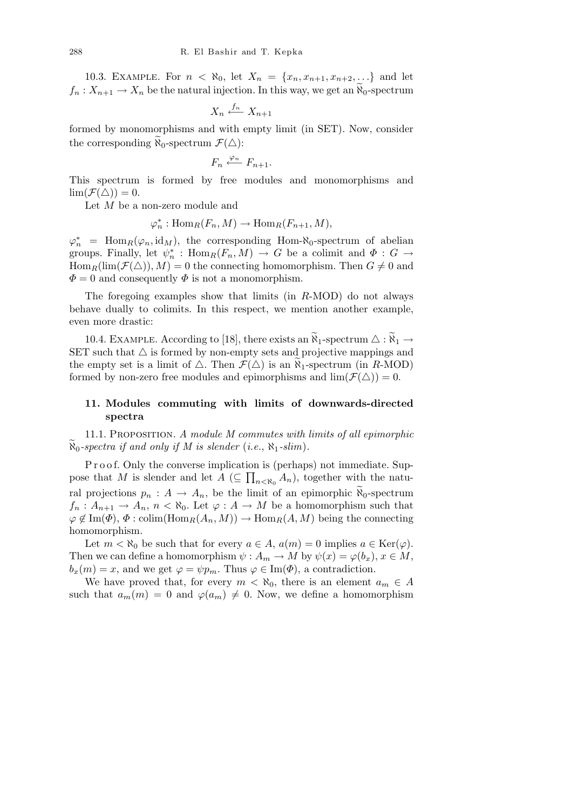10.3. EXAMPLE. For  $n < \aleph_0$ , let  $X_n = \{x_n, x_{n+1}, x_{n+2}, ...\}$  and let  $f_n: X_{n+1} \to X_n$  be the natural injection. In this way, we get an  $\widetilde{X}_0$ -spectrum

$$
X_n \xleftarrow{f_n} X_{n+1}
$$

formed by monomorphisms and with empty limit (in SET). Now, consider the corresponding  $\aleph_0$ -spectrum  $\mathcal{F}(\triangle)$ :

$$
F_n \xleftarrow{\varphi_n} F_{n+1}.
$$

This spectrum is formed by free modules and monomorphisms and  $\lim(\mathcal{F}(\triangle)) = 0.$ 

Let *M* be a non-zero module and

$$
\varphi_n^* : \text{Hom}_R(F_n, M) \to \text{Hom}_R(F_{n+1}, M),
$$

 $\varphi_n^*$  = Hom<sub>*R*</sub>( $\varphi_n$ , id<sub>*M*</sub>), the corresponding Hom- $\aleph_0$ -spectrum of abelian groups. Finally, let  $\psi_n^*$ :  $\text{Hom}_R(F_n, M) \to G$  be a colimit and  $\Phi: G \to$  $\text{Hom}_R(\text{lim}(\mathcal{F}(\triangle)), M) = 0$  the connecting homomorphism. Then  $G \neq 0$  and  $\Phi = 0$  and consequently  $\Phi$  is not a monomorphism.

The foregoing examples show that limits (in *R*-MOD) do not always behave dually to colimits. In this respect, we mention another example, even more drastic:

10.4. EXAMPLE. According to [18], there exists an  $\widetilde{R}_1$ -spectrum  $\Delta : \widetilde{R}_1 \rightarrow$ SET such that  $\Delta$  is formed by non-empty sets and projective mappings and the empty set is a limit of  $\triangle$ . Then  $\mathcal{F}(\triangle)$  is an  $\aleph_1$ -spectrum (in *R*-MOD) formed by non-zero free modules and epimorphisms and  $\lim_{\mathcal{F}}(\mathcal{F}(\triangle))=0$ .

# **11. Modules commuting with limits of downwards-directed spectra**

11.1. Proposition. *A module M commutes with limits of all epimorphic*  $\aleph_0$ -spectra if and only if M is slender (*i.e.*,  $\aleph_1$ -slim).

P r o o f. Only the converse implication is (perhaps) not immediate. Suppose that *M* is slender and let  $A \subseteq \prod_{n \lt N_0} A_n$ , together with the natural projections  $p_n: A \to A_n$ , be the limit of an epimorphic  $\aleph_0$ -spectrum  $f_n: A_{n+1} \to A_n$ ,  $n < \aleph_0$ . Let  $\varphi: A \to M$  be a homomorphism such that  $\varphi \notin \text{Im}(\Phi), \Phi: \text{colim}(\text{Hom}_R(A_n, M)) \to \text{Hom}_R(A, M)$  being the connecting homomorphism.

Let  $m < \aleph_0$  be such that for every  $a \in A$ ,  $a(m) = 0$  implies  $a \in \text{Ker}(\varphi)$ . Then we can define a homomorphism  $\psi : A_m \to M$  by  $\psi(x) = \varphi(b_x), x \in M$ ,  $b_x(m) = x$ , and we get  $\varphi = \psi p_m$ . Thus  $\varphi \in \text{Im}(\Phi)$ , a contradiction.

We have proved that, for every  $m < \aleph_0$ , there is an element  $a_m \in A$ such that  $a_m(m) = 0$  and  $\varphi(a_m) \neq 0$ . Now, we define a homomorphism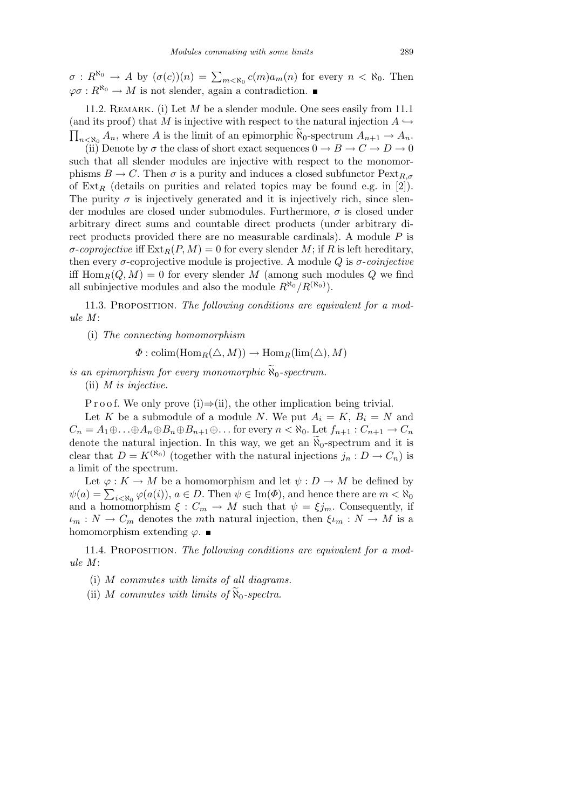$\sigma: R^{\aleph_0} \to A$  by  $(\sigma(c))(n) = \sum_{m \lt \aleph_0} c(m)a_m(n)$  for every  $n \lt \aleph_0$ . Then  $\varphi \sigma : R^{\aleph_0} \to M$  is not slender, again a contradiction.

11.2. REMARK. (i) Let *M* be a slender module. One sees easily from 11.1 (and its proof) that *M* is injective with respect to the natural injection  $A \hookrightarrow$  $A_{n \times \aleph_0}$  *A*<sub>*n*</sub>, where *A* is the limit of an epimorphic  $\widetilde{\aleph}_0$ -spectrum  $A_{n+1} \to A_n$ .

(ii) Denote by  $\sigma$  the class of short exact sequences  $0 \to B \to C \to D \to 0$ such that all slender modules are injective with respect to the monomorphisms  $B \to C$ . Then  $\sigma$  is a purity and induces a closed subfunctor  $\text{Pext}_{R,\sigma}$ of  $Ext_R$  (details on purities and related topics may be found e.g. in [2]). The purity  $\sigma$  is injectively generated and it is injectively rich, since slender modules are closed under submodules. Furthermore, *σ* is closed under arbitrary direct sums and countable direct products (under arbitrary direct products provided there are no measurable cardinals). A module *P* is  $\sigma$ -*coprojective* iff  $\text{Ext}_R(P, M) = 0$  for every slender M; if R is left hereditary, then every *σ*-coprojective module is projective. A module *Q* is *σ*-*coinjective* iff  $\text{Hom}_R(Q, M) = 0$  for every slender M (among such modules Q we find all subinjective modules and also the module  $R^{\aleph_0}/R^{(\aleph_0)}$ .

11.3. Proposition. *The following conditions are equivalent for a module M* :

(i) *The connecting homomorphism*

 $\Phi$  : colim(Hom<sub>*R*</sub>( $\triangle$ , *M*))  $\rightarrow$  Hom<sub>*R*</sub>( $\lim_{k \to \infty}$ ), *M*)

*is an epimorphism for every monomorphic*  $\widetilde{N}_0$ -spectrum.

(ii) *M is injective.*

P r o o f. We only prove (i)⇒(ii), the other implication being trivial.

Let *K* be a submodule of a module *N*. We put  $A_i = K$ ,  $B_i = N$  and  $C_n = A_1 \oplus \ldots \oplus A_n \oplus B_n \oplus B_{n+1} \oplus \ldots$  for every  $n < \aleph_0$ . Let  $f_{n+1} : C_{n+1} \to C_n$ denote the natural injection. In this way, we get an  $\aleph_0$ -spectrum and it is clear that  $D = K^{(N_0)}$  (together with the natural injections  $j_n : D \to C_n$ ) is a limit of the spectrum.

Let  $\varphi: K \to M$  be a homomorphism and let  $\psi: D \to M$  be defined by *μ*(*a*) =  $\sum_{i < \aleph_0} \varphi(a(i))$ , *a* ∈ *D*. Then  $\psi \in \text{Im}(\Phi)$ , and hence there are *m* <  $\aleph_0$ and a homomorphism  $\xi : C_m \to M$  such that  $\psi = \xi j_m$ . Consequently, if  $\iota_m : N \to C_m$  denotes the *m*th natural injection, then  $\xi_{\ell_m} : N \to M$  is a homomorphism extending  $\varphi$ .

11.4. Proposition. *The following conditions are equivalent for a module M* :

(i) *M commutes with limits of all diagrams.*

(ii) *M* commutes with limits of  $\aleph_0$ -spectra.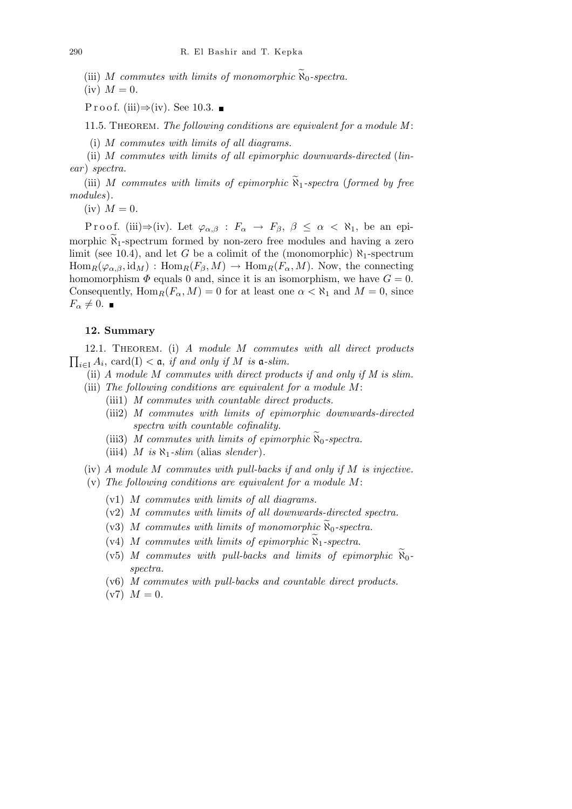(iii) *M* commutes with limits of monomorphic  $\aleph_0$ -spectra.

 $(iv)$  *M* = 0.

P r o o f. (iii)⇒(iv). See 10.3. ■

11.5. Theorem. *The following conditions are equivalent for a module M* :

(i) *M commutes with limits of all diagrams.*

(ii) *M commutes with limits of all epimorphic downwards-directed* (*linear* ) *spectra.*

(iii) *M* commutes with limits of epimorphic  $\widetilde{R}_1$ -spectra (formed by free *modules*)*.*

 $(iv)$  *M* = 0.

Proof. (iii) $\Rightarrow$ (iv). Let  $\varphi_{\alpha,\beta}$  :  $F_{\alpha} \rightarrow F_{\beta}, \beta \leq \alpha < \aleph_1$ , be an epimorphic  $\widetilde{X}_1$ -spectrum formed by non-zero free modules and having a zero limit (see 10.4), and let *G* be a colimit of the (monomorphic)  $\aleph_1$ -spectrum  $\text{Hom}_R(\varphi_{\alpha,\beta}, \text{id}_M) : \text{Hom}_R(F_\beta, M) \to \text{Hom}_R(F_\alpha, M)$ . Now, the connecting homomorphism  $\Phi$  equals 0 and, since it is an isomorphism, we have  $G = 0$ . Consequently,  $\text{Hom}_R(F_\alpha, M) = 0$  for at least one  $\alpha < \aleph_1$  and  $M = 0$ , since *F*<sub> $\alpha$ </sub>  $\neq$  0. ■

### **12. Summary**

 $\overline{a}$ 12.1. Theorem. (i) *A module M commutes with all direct products*  $a_i \in A_i$ , card(I) < a, *if and only if M is* a*-slim.* 

- (ii) *A module M commutes with direct products if and only if M is slim.*
- (iii) *The following conditions are equivalent for a module M*: (iii1) *M commutes with countable direct products.*
	- (iii2) *M commutes with limits of epimorphic downwards-directed spectra with countable cofinality.*
	- (iii3) *M* commutes with limits of epimorphic  $\aleph_0$ -spectra.
	- (iii4) *M* is  $\aleph_1$ -slim (alias slender).
- (iv) *A module M commutes with pull-backs if and only if M is injective.*
- (v) *The following conditions are equivalent for a module M*:
	- (v1) *M commutes with limits of all diagrams.*
	- (v2) *M commutes with limits of all downwards-directed spectra.*
	- (v3) *M* commutes with limits of monomorphic  $\widetilde{N}_0$ -spectra.
	- (v4) *M* commutes with limits of epimorphic  $\widetilde{N}_1$ -spectra.
	- $(v5)$  *M* commutes with pull-backs and limits of epimorphic  $\aleph_0$ *spectra.*
	- (v6) *M commutes with pull-backs and countable direct products.*
	- $(v7)$   $M = 0$ .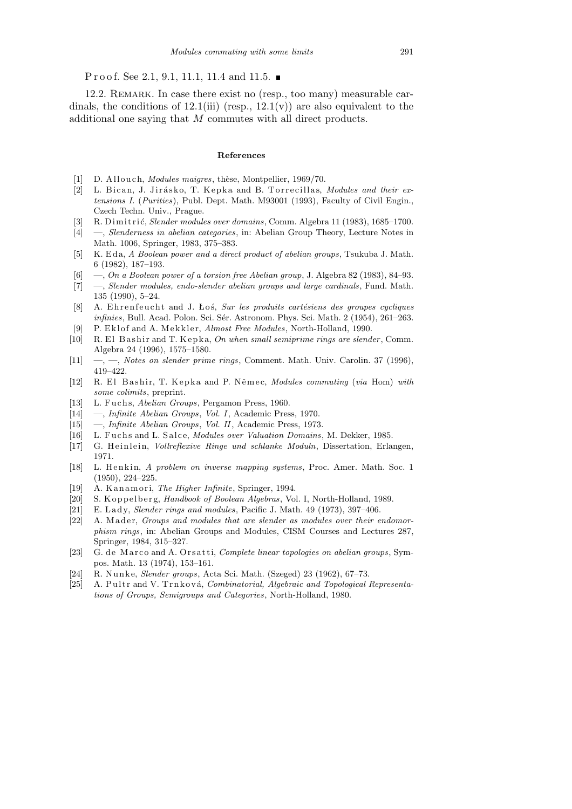P r o o f. See 2.1, 9.1, 11.1, 11.4 and 11.5.  $\blacksquare$ 

12.2. Remark. In case there exist no (resp., too many) measurable cardinals, the conditions of  $12.1(iii)$  (resp.,  $12.1(v)$ ) are also equivalent to the additional one saying that *M* commutes with all direct products.

#### **References**

- [1] D. Allouch, *Modules maigres*, thèse, Montpellier, 1969/70.
- [2] L. Bican, J. Jirásko, T. Kepka and B. Torrecillas, *Modules and their extensions I.* (*Purities*), Publ. Dept. Math. M93001 (1993), Faculty of Civil Engin., Czech Techn. Univ., Prague.
- [3] R. Dimi t ri´c, *Slender modules over domains*, Comm. Algebra 11 (1983), 1685–1700.
- [4] —, *Slenderness in abelian categories*, in: Abelian Group Theory, Lecture Notes in Math. 1006, Springer, 1983, 375–383.
- [5] K. E d a, *A Boolean power and a direct product of abelian groups*, Tsukuba J. Math. 6 (1982), 187–193.
- [6] —, *On a Boolean power of a torsion free Abelian group*, J. Algebra 82 (1983), 84–93.
- [7] —, *Slender modules, endo-slender abelian groups and large cardinals*, Fund. Math. 135 (1990), 5–24.
- [8] A. Ehrenfeucht and J. Łoś, *Sur les produits cartésiens des groupes cycliques infinies*, Bull. Acad. Polon. Sci. Sér. Astronom. Phys. Sci. Math. 2 (1954), 261–263.
- P. Eklof and A. Mekkler, *Almost Free Modules*, North-Holland, 1990.
- [10] R. El Bashir and T. Kepka, *On when small semiprime rings are slender*, Comm. Algebra 24 (1996), 1575–1580.
- [11] —, —, *Notes on slender prime rings*, Comment. Math. Univ. Carolin. 37 (1996), 419–422.
- [12] R. El Bashir, T. Kepka and P. Němec, *Modules commuting* (*via* Hom) *with some colimits*, preprint.
- [13] L. Fuchs, *Abelian Groups*, Pergamon Press, 1960.
- [14] —, *Infinite Abelian Groups*, *Vol. I*, Academic Press, 1970.
- [15] —, *Infinite Abelian Groups*, *Vol. II*, Academic Press, 1973.
- [16] L. Fuchs and L. Salce, *Modules over Valuation Domains*, M. Dekker, 1985.
- [17] G. Heinlein, *Vollreflexive Ringe und schlanke Moduln*, Dissertation, Erlangen, 1971.
- [18] L. Henkin, *A problem on inverse mapping systems*, Proc. Amer. Math. Soc. 1 (1950), 224–225.
- [19] A. K a n am o ri, *The Higher Infinite*, Springer, 1994.
- [20] S. K oppelberg, *Handbook of Boolean Algebras*, Vol. I, North-Holland, 1989.
- [21] E. Lady, *Slender rings and modules*, Pacific J. Math. 49 (1973), 397-406.
- [22] A. Mader, *Groups and modules that are slender as modules over their endomorphism rings*, in: Abelian Groups and Modules, CISM Courses and Lectures 287, Springer, 1984, 315–327.
- [23] G. de Marco and A. Orsatti, *Complete linear topologies on abelian groups*, Sympos. Math. 13 (1974), 153–161.
- [24] R. N u n k e, *Slender groups*, Acta Sci. Math. (Szeged) 23 (1962), 67–73.
- [25] A. Pultr and V. Trnková, *Combinatorial, Algebraic and Topological Representations of Groups, Semigroups and Categories*, North-Holland, 1980.